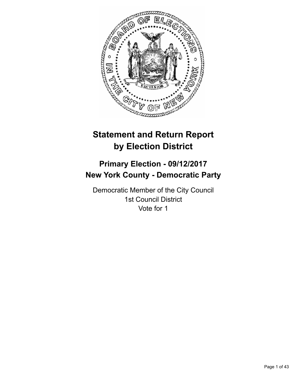

# **Statement and Return Report by Election District**

# **Primary Election - 09/12/2017 New York County - Democratic Party**

Democratic Member of the City Council 1st Council District Vote for 1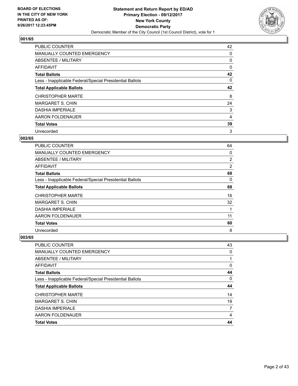

| PUBLIC COUNTER                                           | 42 |
|----------------------------------------------------------|----|
| <b>MANUALLY COUNTED EMERGENCY</b>                        | 0  |
| ABSENTEE / MILITARY                                      | 0  |
| AFFIDAVIT                                                | 0  |
| <b>Total Ballots</b>                                     | 42 |
| Less - Inapplicable Federal/Special Presidential Ballots | 0  |
| <b>Total Applicable Ballots</b>                          | 42 |
| <b>CHRISTOPHER MARTE</b>                                 | 8  |
| <b>MARGARET S. CHIN</b>                                  | 24 |
| <b>DASHIA IMPERIALE</b>                                  | 3  |
| AARON FOLDENAUER                                         | 4  |
| <b>Total Votes</b>                                       | 39 |
| Unrecorded                                               | 3  |

## **002/65**

| <b>PUBLIC COUNTER</b>                                    | 64             |
|----------------------------------------------------------|----------------|
| <b>MANUALLY COUNTED EMERGENCY</b>                        | 0              |
| ABSENTEE / MILITARY                                      | 2              |
| <b>AFFIDAVIT</b>                                         | $\overline{2}$ |
| <b>Total Ballots</b>                                     | 68             |
| Less - Inapplicable Federal/Special Presidential Ballots | 0              |
| <b>Total Applicable Ballots</b>                          | 68             |
| <b>CHRISTOPHER MARTE</b>                                 | 16             |
| <b>MARGARET S. CHIN</b>                                  | 32             |
| <b>DASHIA IMPERIALE</b>                                  |                |
| AARON FOLDENAUER                                         | 11             |
| <b>Total Votes</b>                                       | 60             |
| Unrecorded                                               | 8              |

| <b>PUBLIC COUNTER</b>                                    | 43 |
|----------------------------------------------------------|----|
| <b>MANUALLY COUNTED EMERGENCY</b>                        | 0  |
| ABSENTEE / MILITARY                                      |    |
| AFFIDAVIT                                                | 0  |
| <b>Total Ballots</b>                                     | 44 |
| Less - Inapplicable Federal/Special Presidential Ballots | 0  |
| <b>Total Applicable Ballots</b>                          | 44 |
| <b>CHRISTOPHER MARTE</b>                                 | 14 |
|                                                          |    |
| <b>MARGARET S. CHIN</b>                                  | 19 |
| <b>DASHIA IMPERIALE</b>                                  | 7  |
| AARON FOLDENAUER                                         | 4  |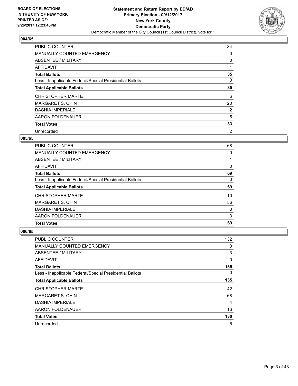

| <b>PUBLIC COUNTER</b>                                    | 34 |
|----------------------------------------------------------|----|
| <b>MANUALLY COUNTED EMERGENCY</b>                        | 0  |
| ABSENTEE / MILITARY                                      | 0  |
| AFFIDAVIT                                                |    |
| <b>Total Ballots</b>                                     | 35 |
| Less - Inapplicable Federal/Special Presidential Ballots | 0  |
| <b>Total Applicable Ballots</b>                          | 35 |
| <b>CHRISTOPHER MARTE</b>                                 | 6  |
| <b>MARGARET S. CHIN</b>                                  | 20 |
| <b>DASHIA IMPERIALE</b>                                  | 2  |
| AARON FOLDENAUER                                         | 5  |
| <b>Total Votes</b>                                       | 33 |
| Unrecorded                                               | 2  |

#### **005/65**

| <b>PUBLIC COUNTER</b>                                    | 68 |
|----------------------------------------------------------|----|
| <b>MANUALLY COUNTED EMERGENCY</b>                        | 0  |
| ABSENTEE / MILITARY                                      |    |
| <b>AFFIDAVIT</b>                                         | 0  |
| <b>Total Ballots</b>                                     | 69 |
| Less - Inapplicable Federal/Special Presidential Ballots | 0  |
| <b>Total Applicable Ballots</b>                          | 69 |
| <b>CHRISTOPHER MARTE</b>                                 | 10 |
| <b>MARGARET S. CHIN</b>                                  | 56 |
| <b>DASHIA IMPERIALE</b>                                  | 0  |
| AARON FOLDENAUER                                         | 3  |
| <b>Total Votes</b>                                       | 69 |

| <b>PUBLIC COUNTER</b>                                    | 132 |
|----------------------------------------------------------|-----|
| <b>MANUALLY COUNTED EMERGENCY</b>                        | 0   |
| ABSENTEE / MILITARY                                      | 3   |
| AFFIDAVIT                                                | 0   |
| <b>Total Ballots</b>                                     | 135 |
| Less - Inapplicable Federal/Special Presidential Ballots | 0   |
| <b>Total Applicable Ballots</b>                          | 135 |
| <b>CHRISTOPHER MARTE</b>                                 | 42  |
| <b>MARGARET S. CHIN</b>                                  | 68  |
| <b>DASHIA IMPERIALE</b>                                  | 4   |
| AARON FOLDENAUER                                         | 16  |
| <b>Total Votes</b>                                       | 130 |
| Unrecorded                                               | 5   |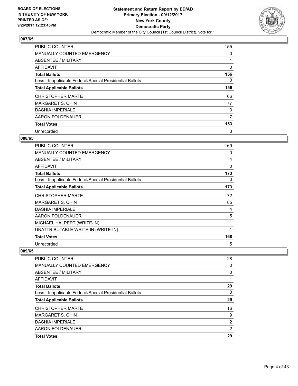

| <b>PUBLIC COUNTER</b>                                    | 155 |
|----------------------------------------------------------|-----|
| <b>MANUALLY COUNTED EMERGENCY</b>                        | 0   |
| ABSENTEE / MILITARY                                      |     |
| <b>AFFIDAVIT</b>                                         | 0   |
| <b>Total Ballots</b>                                     | 156 |
| Less - Inapplicable Federal/Special Presidential Ballots | 0   |
| <b>Total Applicable Ballots</b>                          | 156 |
| <b>CHRISTOPHER MARTE</b>                                 | 66  |
| <b>MARGARET S. CHIN</b>                                  | 77  |
| <b>DASHIA IMPERIALE</b>                                  | 3   |
| AARON FOLDENAUER                                         | 7   |
| <b>Total Votes</b>                                       | 153 |
| Unrecorded                                               | 3   |

# **008/65**

| <b>PUBLIC COUNTER</b>                                    | 169      |
|----------------------------------------------------------|----------|
| <b>MANUALLY COUNTED EMERGENCY</b>                        | 0        |
| <b>ABSENTEE / MILITARY</b>                               | 4        |
| AFFIDAVIT                                                | $\Omega$ |
| <b>Total Ballots</b>                                     | 173      |
| Less - Inapplicable Federal/Special Presidential Ballots | 0        |
| <b>Total Applicable Ballots</b>                          | 173      |
| <b>CHRISTOPHER MARTE</b>                                 | 72       |
| <b>MARGARET S. CHIN</b>                                  | 85       |
| <b>DASHIA IMPERIALE</b>                                  | 4        |
| AARON FOLDENAUER                                         | 5        |
| MICHAEL HALPERT (WRITE-IN)                               | 1        |
| UNATTRIBUTABLE WRITE-IN (WRITE-IN)                       | 1        |
| <b>Total Votes</b>                                       | 168      |
| Unrecorded                                               | 5        |

| <b>PUBLIC COUNTER</b>                                    | 28 |
|----------------------------------------------------------|----|
| MANUALLY COUNTED EMERGENCY                               | 0  |
| ABSENTEE / MILITARY                                      | 0  |
| <b>AFFIDAVIT</b>                                         |    |
| <b>Total Ballots</b>                                     | 29 |
| Less - Inapplicable Federal/Special Presidential Ballots | 0  |
| <b>Total Applicable Ballots</b>                          | 29 |
| <b>CHRISTOPHER MARTE</b>                                 | 16 |
| MARGARET S. CHIN                                         | 9  |
| <b>DASHIA IMPERIALE</b>                                  | 2  |
| AARON FOLDENAUER                                         | 2  |
| <b>Total Votes</b>                                       | 29 |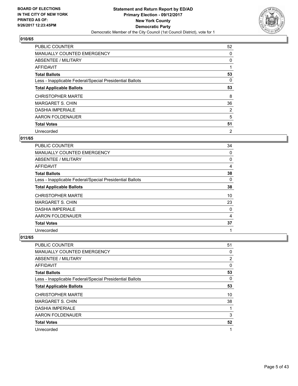

| <b>PUBLIC COUNTER</b>                                    | 52             |
|----------------------------------------------------------|----------------|
| <b>MANUALLY COUNTED EMERGENCY</b>                        | 0              |
| ABSENTEE / MILITARY                                      | 0              |
| <b>AFFIDAVIT</b>                                         |                |
| <b>Total Ballots</b>                                     | 53             |
| Less - Inapplicable Federal/Special Presidential Ballots | 0              |
| <b>Total Applicable Ballots</b>                          | 53             |
| <b>CHRISTOPHER MARTE</b>                                 | 8              |
| <b>MARGARET S. CHIN</b>                                  | 36             |
| <b>DASHIA IMPERIALE</b>                                  | 2              |
| AARON FOLDENAUER                                         | 5              |
| <b>Total Votes</b>                                       | 51             |
| Unrecorded                                               | $\overline{2}$ |

## **011/65**

| <b>PUBLIC COUNTER</b>                                    | 34 |
|----------------------------------------------------------|----|
| <b>MANUALLY COUNTED EMERGENCY</b>                        | 0  |
| ABSENTEE / MILITARY                                      | 0  |
| AFFIDAVIT                                                | 4  |
| <b>Total Ballots</b>                                     | 38 |
| Less - Inapplicable Federal/Special Presidential Ballots | 0  |
| <b>Total Applicable Ballots</b>                          | 38 |
| <b>CHRISTOPHER MARTE</b>                                 | 10 |
| <b>MARGARET S. CHIN</b>                                  | 23 |
| <b>DASHIA IMPERIALE</b>                                  | 0  |
| AARON FOLDENAUER                                         | 4  |
| <b>Total Votes</b>                                       | 37 |
| Unrecorded                                               | 1  |

| PUBLIC COUNTER                                           | 51 |
|----------------------------------------------------------|----|
| <b>MANUALLY COUNTED EMERGENCY</b>                        | 0  |
| ABSENTEE / MILITARY                                      | 2  |
| AFFIDAVIT                                                | 0  |
| <b>Total Ballots</b>                                     | 53 |
| Less - Inapplicable Federal/Special Presidential Ballots | 0  |
| <b>Total Applicable Ballots</b>                          | 53 |
| <b>CHRISTOPHER MARTE</b>                                 | 10 |
| <b>MARGARET S. CHIN</b>                                  | 38 |
| <b>DASHIA IMPERIALE</b>                                  |    |
| AARON FOLDENAUER                                         | 3  |
| <b>Total Votes</b>                                       | 52 |
| Unrecorded                                               | 1  |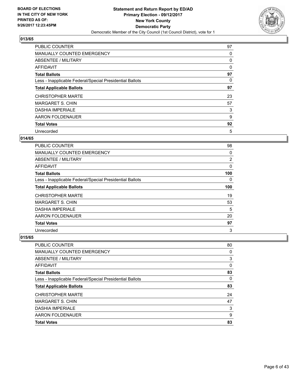

| <b>PUBLIC COUNTER</b>                                    | 97 |
|----------------------------------------------------------|----|
| <b>MANUALLY COUNTED EMERGENCY</b>                        | 0  |
| ABSENTEE / MILITARY                                      | 0  |
| <b>AFFIDAVIT</b>                                         | 0  |
| <b>Total Ballots</b>                                     | 97 |
| Less - Inapplicable Federal/Special Presidential Ballots | 0  |
| <b>Total Applicable Ballots</b>                          | 97 |
| <b>CHRISTOPHER MARTE</b>                                 | 23 |
| <b>MARGARET S. CHIN</b>                                  | 57 |
| <b>DASHIA IMPERIALE</b>                                  | 3  |
| AARON FOLDENAUER                                         | 9  |
| <b>Total Votes</b>                                       | 92 |
| Unrecorded                                               | 5  |

# **014/65**

| <b>PUBLIC COUNTER</b>                                    | 98       |
|----------------------------------------------------------|----------|
| <b>MANUALLY COUNTED EMERGENCY</b>                        | 0        |
| ABSENTEE / MILITARY                                      | 2        |
| AFFIDAVIT                                                | 0        |
| <b>Total Ballots</b>                                     | 100      |
| Less - Inapplicable Federal/Special Presidential Ballots | $\Omega$ |
| <b>Total Applicable Ballots</b>                          | 100      |
| <b>CHRISTOPHER MARTE</b>                                 | 19       |
| <b>MARGARET S. CHIN</b>                                  | 53       |
| <b>DASHIA IMPERIALE</b>                                  | 5        |
| AARON FOLDENAUER                                         | 20       |
| <b>Total Votes</b>                                       | 97       |
| Unrecorded                                               | 3        |

| <b>PUBLIC COUNTER</b>                                    | 80 |
|----------------------------------------------------------|----|
| <b>MANUALLY COUNTED EMERGENCY</b>                        | 0  |
| ABSENTEE / MILITARY                                      | 3  |
| AFFIDAVIT                                                | 0  |
| <b>Total Ballots</b>                                     | 83 |
| Less - Inapplicable Federal/Special Presidential Ballots | 0  |
| <b>Total Applicable Ballots</b>                          | 83 |
| <b>CHRISTOPHER MARTE</b>                                 | 24 |
| MARGARET S. CHIN                                         | 47 |
| <b>DASHIA IMPERIALE</b>                                  | 3  |
| AARON FOLDENAUER                                         | 9  |
| <b>Total Votes</b>                                       | 83 |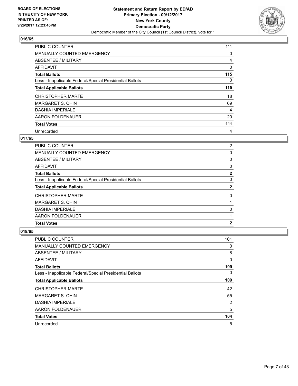

| <b>PUBLIC COUNTER</b>                                    | 111 |
|----------------------------------------------------------|-----|
| <b>MANUALLY COUNTED EMERGENCY</b>                        | 0   |
| ABSENTEE / MILITARY                                      | 4   |
| AFFIDAVIT                                                | 0   |
| <b>Total Ballots</b>                                     | 115 |
| Less - Inapplicable Federal/Special Presidential Ballots | 0   |
| <b>Total Applicable Ballots</b>                          | 115 |
| <b>CHRISTOPHER MARTE</b>                                 | 18  |
| <b>MARGARET S. CHIN</b>                                  | 69  |
| <b>DASHIA IMPERIALE</b>                                  | 4   |
| AARON FOLDENAUER                                         | 20  |
| <b>Total Votes</b>                                       | 111 |
| Unrecorded                                               | 4   |

## **017/65**

| PUBLIC COUNTER                                           | 2            |
|----------------------------------------------------------|--------------|
| <b>MANUALLY COUNTED EMERGENCY</b>                        | 0            |
| ABSENTEE / MILITARY                                      | 0            |
| AFFIDAVIT                                                | 0            |
| <b>Total Ballots</b>                                     | $\mathbf{2}$ |
| Less - Inapplicable Federal/Special Presidential Ballots | 0            |
| <b>Total Applicable Ballots</b>                          | 2            |
| <b>CHRISTOPHER MARTE</b>                                 | 0            |
| <b>MARGARET S. CHIN</b>                                  |              |
| <b>DASHIA IMPERIALE</b>                                  | 0            |
| AARON FOLDENAUER                                         |              |
| <b>Total Votes</b>                                       | 2            |

| <b>PUBLIC COUNTER</b>                                    | 101 |
|----------------------------------------------------------|-----|
| <b>MANUALLY COUNTED EMERGENCY</b>                        | 0   |
| ABSENTEE / MILITARY                                      | 8   |
| AFFIDAVIT                                                | 0   |
| <b>Total Ballots</b>                                     | 109 |
| Less - Inapplicable Federal/Special Presidential Ballots | 0   |
| <b>Total Applicable Ballots</b>                          | 109 |
| <b>CHRISTOPHER MARTE</b>                                 | 42  |
| <b>MARGARET S. CHIN</b>                                  | 55  |
| <b>DASHIA IMPERIALE</b>                                  | 2   |
| AARON FOLDENAUER                                         | 5   |
| <b>Total Votes</b>                                       | 104 |
| Unrecorded                                               | 5   |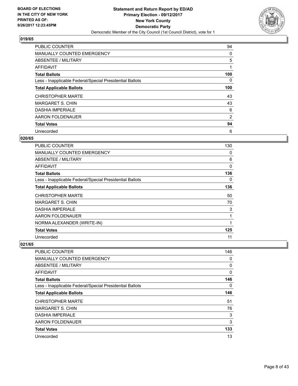

| <b>PUBLIC COUNTER</b>                                    | 94  |
|----------------------------------------------------------|-----|
| <b>MANUALLY COUNTED EMERGENCY</b>                        | 0   |
| ABSENTEE / MILITARY                                      | 5   |
| AFFIDAVIT                                                | 1   |
| <b>Total Ballots</b>                                     | 100 |
| Less - Inapplicable Federal/Special Presidential Ballots | 0   |
| <b>Total Applicable Ballots</b>                          | 100 |
| <b>CHRISTOPHER MARTE</b>                                 | 43  |
| <b>MARGARET S. CHIN</b>                                  | 43  |
| <b>DASHIA IMPERIALE</b>                                  | 6   |
| AARON FOLDENAUER                                         | 2   |
| <b>Total Votes</b>                                       | 94  |
| Unrecorded                                               | 6   |

## **020/65**

| <b>PUBLIC COUNTER</b>                                    | 130 |
|----------------------------------------------------------|-----|
| <b>MANUALLY COUNTED EMERGENCY</b>                        | 0   |
| ABSENTEE / MILITARY                                      | 6   |
| AFFIDAVIT                                                | 0   |
| <b>Total Ballots</b>                                     | 136 |
| Less - Inapplicable Federal/Special Presidential Ballots | 0   |
| <b>Total Applicable Ballots</b>                          | 136 |
| <b>CHRISTOPHER MARTE</b>                                 | 50  |
| <b>MARGARET S. CHIN</b>                                  | 70  |
| <b>DASHIA IMPERIALE</b>                                  | 3   |
| AARON FOLDENAUER                                         | 1   |
| NORMA ALEXANDER (WRITE-IN)                               | 1   |
| <b>Total Votes</b>                                       | 125 |
| Unrecorded                                               | 11  |

| <b>PUBLIC COUNTER</b>                                    | 146 |
|----------------------------------------------------------|-----|
| <b>MANUALLY COUNTED EMERGENCY</b>                        | 0   |
| ABSENTEE / MILITARY                                      | 0   |
| AFFIDAVIT                                                | 0   |
| <b>Total Ballots</b>                                     | 146 |
| Less - Inapplicable Federal/Special Presidential Ballots | 0   |
| <b>Total Applicable Ballots</b>                          | 146 |
| <b>CHRISTOPHER MARTE</b>                                 | 51  |
| <b>MARGARET S. CHIN</b>                                  | 76  |
| <b>DASHIA IMPERIALE</b>                                  | 3   |
| AARON FOLDENAUER                                         | 3   |
| <b>Total Votes</b>                                       | 133 |
| Unrecorded                                               | 13  |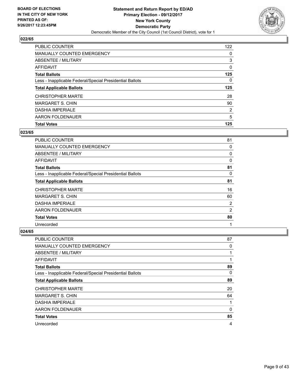

| <b>PUBLIC COUNTER</b>                                    | 122 |
|----------------------------------------------------------|-----|
| <b>MANUALLY COUNTED EMERGENCY</b>                        | 0   |
| ABSENTEE / MILITARY                                      | 3   |
| AFFIDAVIT                                                | 0   |
| <b>Total Ballots</b>                                     | 125 |
| Less - Inapplicable Federal/Special Presidential Ballots | 0   |
| <b>Total Applicable Ballots</b>                          | 125 |
|                                                          |     |
| <b>CHRISTOPHER MARTE</b>                                 | 28  |
| MARGARET S. CHIN                                         | 90  |
| <b>DASHIA IMPERIALE</b>                                  | 2   |
| AARON FOLDENAUER                                         | 5   |

#### **023/65**

| <b>PUBLIC COUNTER</b>                                    | 81 |
|----------------------------------------------------------|----|
| <b>MANUALLY COUNTED EMERGENCY</b>                        | 0  |
| ABSENTEE / MILITARY                                      | 0  |
| AFFIDAVIT                                                | 0  |
| <b>Total Ballots</b>                                     | 81 |
| Less - Inapplicable Federal/Special Presidential Ballots | 0  |
| <b>Total Applicable Ballots</b>                          | 81 |
| <b>CHRISTOPHER MARTE</b>                                 | 16 |
| <b>MARGARET S. CHIN</b>                                  | 60 |
| <b>DASHIA IMPERIALE</b>                                  | 2  |
| AARON FOLDENAUER                                         | 2  |
| <b>Total Votes</b>                                       | 80 |
| Unrecorded                                               | 1  |

| PUBLIC COUNTER                                           | 87 |
|----------------------------------------------------------|----|
| <b>MANUALLY COUNTED EMERGENCY</b>                        | 0  |
| ABSENTEE / MILITARY                                      |    |
| AFFIDAVIT                                                |    |
| <b>Total Ballots</b>                                     | 89 |
| Less - Inapplicable Federal/Special Presidential Ballots | 0  |
| <b>Total Applicable Ballots</b>                          | 89 |
| <b>CHRISTOPHER MARTE</b>                                 | 20 |
| <b>MARGARET S. CHIN</b>                                  | 64 |
| <b>DASHIA IMPERIALE</b>                                  | 1  |
| AARON FOLDENAUER                                         | 0  |
| <b>Total Votes</b>                                       | 85 |
| Unrecorded                                               | 4  |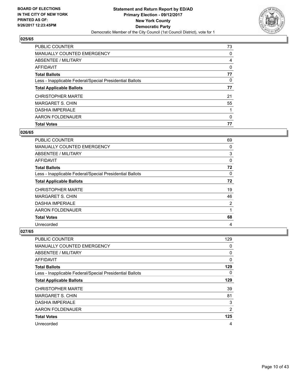

| PUBLIC COUNTER                                           | 73 |
|----------------------------------------------------------|----|
| <b>MANUALLY COUNTED EMERGENCY</b>                        | 0  |
| ABSENTEE / MILITARY                                      | 4  |
| AFFIDAVIT                                                | 0  |
| <b>Total Ballots</b>                                     | 77 |
| Less - Inapplicable Federal/Special Presidential Ballots | 0  |
| <b>Total Applicable Ballots</b>                          | 77 |
| <b>CHRISTOPHER MARTE</b>                                 | 21 |
| <b>MARGARET S. CHIN</b>                                  | 55 |
| <b>DASHIA IMPERIALE</b>                                  |    |
| AARON FOLDENAUER                                         | 0  |
| <b>Total Votes</b>                                       | 77 |

#### **026/65**

| <b>PUBLIC COUNTER</b>                                    | 69 |
|----------------------------------------------------------|----|
| <b>MANUALLY COUNTED EMERGENCY</b>                        | 0  |
| ABSENTEE / MILITARY                                      | 3  |
| AFFIDAVIT                                                | 0  |
| <b>Total Ballots</b>                                     | 72 |
| Less - Inapplicable Federal/Special Presidential Ballots | 0  |
| <b>Total Applicable Ballots</b>                          | 72 |
| <b>CHRISTOPHER MARTE</b>                                 | 19 |
| <b>MARGARET S. CHIN</b>                                  | 46 |
| <b>DASHIA IMPERIALE</b>                                  | 2  |
| AARON FOLDENAUER                                         | 1  |
| <b>Total Votes</b>                                       | 68 |
| Unrecorded                                               | 4  |

| <b>PUBLIC COUNTER</b>                                    | 129            |
|----------------------------------------------------------|----------------|
| <b>MANUALLY COUNTED EMERGENCY</b>                        | 0              |
| ABSENTEE / MILITARY                                      | 0              |
| AFFIDAVIT                                                | 0              |
| <b>Total Ballots</b>                                     | 129            |
| Less - Inapplicable Federal/Special Presidential Ballots | 0              |
| <b>Total Applicable Ballots</b>                          | 129            |
| <b>CHRISTOPHER MARTE</b>                                 | 39             |
| <b>MARGARET S. CHIN</b>                                  | 81             |
| <b>DASHIA IMPERIALE</b>                                  | 3              |
| AARON FOLDENAUER                                         | $\overline{2}$ |
| <b>Total Votes</b>                                       | 125            |
| Unrecorded                                               | $\overline{4}$ |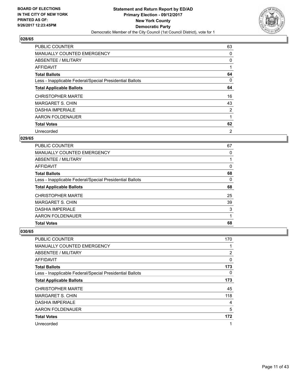

| <b>PUBLIC COUNTER</b>                                    | 63             |
|----------------------------------------------------------|----------------|
| MANUALLY COUNTED EMERGENCY                               | 0              |
| ABSENTEE / MILITARY                                      | 0              |
| AFFIDAVIT                                                |                |
| <b>Total Ballots</b>                                     | 64             |
| Less - Inapplicable Federal/Special Presidential Ballots | 0              |
| <b>Total Applicable Ballots</b>                          | 64             |
| <b>CHRISTOPHER MARTE</b>                                 | 16             |
| <b>MARGARET S. CHIN</b>                                  | 43             |
| <b>DASHIA IMPERIALE</b>                                  | 2              |
| AARON FOLDENAUER                                         |                |
| <b>Total Votes</b>                                       | 62             |
| Unrecorded                                               | $\overline{2}$ |

## **029/65**

| <b>PUBLIC COUNTER</b>                                    | 67 |
|----------------------------------------------------------|----|
| <b>MANUALLY COUNTED EMERGENCY</b>                        | 0  |
| ABSENTEE / MILITARY                                      |    |
| AFFIDAVIT                                                | 0  |
| <b>Total Ballots</b>                                     | 68 |
| Less - Inapplicable Federal/Special Presidential Ballots | 0  |
| <b>Total Applicable Ballots</b>                          | 68 |
| <b>CHRISTOPHER MARTE</b>                                 | 25 |
| <b>MARGARET S. CHIN</b>                                  | 39 |
| <b>DASHIA IMPERIALE</b>                                  | 3  |
| AARON FOLDENAUER                                         |    |
| <b>Total Votes</b>                                       | 68 |

| PUBLIC COUNTER                                           | 170 |
|----------------------------------------------------------|-----|
| <b>MANUALLY COUNTED EMERGENCY</b>                        |     |
| ABSENTEE / MILITARY                                      | 2   |
| AFFIDAVIT                                                | 0   |
| <b>Total Ballots</b>                                     | 173 |
| Less - Inapplicable Federal/Special Presidential Ballots | 0   |
| <b>Total Applicable Ballots</b>                          | 173 |
| <b>CHRISTOPHER MARTE</b>                                 | 45  |
| <b>MARGARET S. CHIN</b>                                  | 118 |
| <b>DASHIA IMPERIALE</b>                                  | 4   |
| AARON FOLDENAUER                                         | 5   |
| <b>Total Votes</b>                                       | 172 |
| Unrecorded                                               | 1   |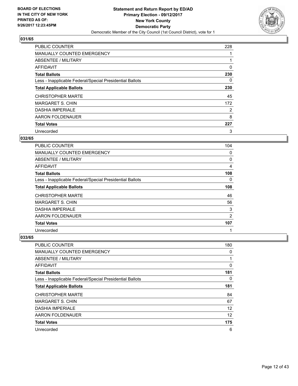

| <b>PUBLIC COUNTER</b>                                    | 228 |
|----------------------------------------------------------|-----|
| <b>MANUALLY COUNTED EMERGENCY</b>                        |     |
| ABSENTEE / MILITARY                                      |     |
| <b>AFFIDAVIT</b>                                         | 0   |
| <b>Total Ballots</b>                                     | 230 |
| Less - Inapplicable Federal/Special Presidential Ballots | 0   |
| <b>Total Applicable Ballots</b>                          | 230 |
| <b>CHRISTOPHER MARTE</b>                                 | 45  |
| <b>MARGARET S. CHIN</b>                                  | 172 |
| <b>DASHIA IMPERIALE</b>                                  | 2   |
| AARON FOLDENAUER                                         | 8   |
| <b>Total Votes</b>                                       | 227 |
| Unrecorded                                               | 3   |

# **032/65**

| <b>PUBLIC COUNTER</b>                                    | 104      |
|----------------------------------------------------------|----------|
| <b>MANUALLY COUNTED EMERGENCY</b>                        | 0        |
| ABSENTEE / MILITARY                                      | 0        |
| AFFIDAVIT                                                | 4        |
| <b>Total Ballots</b>                                     | 108      |
| Less - Inapplicable Federal/Special Presidential Ballots | $\Omega$ |
| <b>Total Applicable Ballots</b>                          | 108      |
| <b>CHRISTOPHER MARTE</b>                                 | 46       |
| <b>MARGARET S. CHIN</b>                                  | 56       |
| <b>DASHIA IMPERIALE</b>                                  | 3        |
| AARON FOLDENAUER                                         | 2        |
| <b>Total Votes</b>                                       | 107      |
| Unrecorded                                               | 1        |

| PUBLIC COUNTER                                           | 180 |
|----------------------------------------------------------|-----|
| <b>MANUALLY COUNTED EMERGENCY</b>                        | 0   |
| ABSENTEE / MILITARY                                      |     |
| AFFIDAVIT                                                | 0   |
| <b>Total Ballots</b>                                     | 181 |
| Less - Inapplicable Federal/Special Presidential Ballots | 0   |
| <b>Total Applicable Ballots</b>                          | 181 |
| <b>CHRISTOPHER MARTE</b>                                 | 84  |
| <b>MARGARET S. CHIN</b>                                  | 67  |
| <b>DASHIA IMPERIALE</b>                                  | 12  |
| AARON FOLDENAUER                                         | 12  |
| <b>Total Votes</b>                                       | 175 |
| Unrecorded                                               | 6   |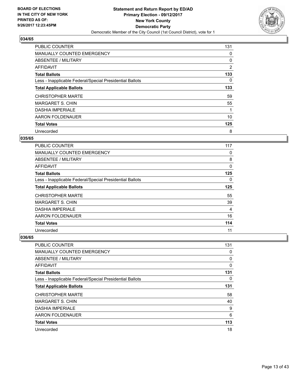

| <b>PUBLIC COUNTER</b>                                    | 131 |
|----------------------------------------------------------|-----|
| <b>MANUALLY COUNTED EMERGENCY</b>                        | 0   |
| ABSENTEE / MILITARY                                      | 0   |
| <b>AFFIDAVIT</b>                                         | 2   |
| <b>Total Ballots</b>                                     | 133 |
| Less - Inapplicable Federal/Special Presidential Ballots | 0   |
| <b>Total Applicable Ballots</b>                          | 133 |
| <b>CHRISTOPHER MARTE</b>                                 | 59  |
| <b>MARGARET S. CHIN</b>                                  | 55  |
| <b>DASHIA IMPERIALE</b>                                  |     |
| AARON FOLDENAUER                                         | 10  |
| <b>Total Votes</b>                                       | 125 |
| Unrecorded                                               | 8   |

## **035/65**

| <b>PUBLIC COUNTER</b>                                    | 117      |
|----------------------------------------------------------|----------|
| <b>MANUALLY COUNTED EMERGENCY</b>                        | 0        |
| ABSENTEE / MILITARY                                      | 8        |
| AFFIDAVIT                                                | 0        |
| <b>Total Ballots</b>                                     | 125      |
| Less - Inapplicable Federal/Special Presidential Ballots | $\Omega$ |
| <b>Total Applicable Ballots</b>                          | 125      |
| <b>CHRISTOPHER MARTE</b>                                 | 55       |
| <b>MARGARET S. CHIN</b>                                  | 39       |
| <b>DASHIA IMPERIALE</b>                                  | 4        |
| AARON FOLDENAUER                                         | 16       |
| <b>Total Votes</b>                                       | 114      |
| Unrecorded                                               | 11       |

| <b>PUBLIC COUNTER</b>                                    | 131 |
|----------------------------------------------------------|-----|
| <b>MANUALLY COUNTED EMERGENCY</b>                        | 0   |
| ABSENTEE / MILITARY                                      | 0   |
| AFFIDAVIT                                                | 0   |
| <b>Total Ballots</b>                                     | 131 |
| Less - Inapplicable Federal/Special Presidential Ballots | 0   |
| <b>Total Applicable Ballots</b>                          | 131 |
| <b>CHRISTOPHER MARTE</b>                                 | 58  |
| <b>MARGARET S. CHIN</b>                                  | 40  |
| <b>DASHIA IMPERIALE</b>                                  | 9   |
| AARON FOLDENAUER                                         | 6   |
| <b>Total Votes</b>                                       | 113 |
| Unrecorded                                               | 18  |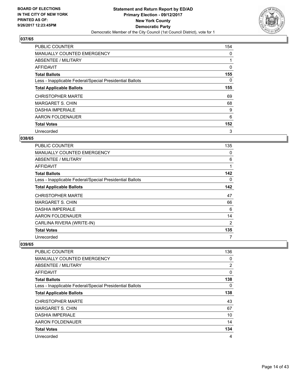

| <b>PUBLIC COUNTER</b>                                    | 154 |
|----------------------------------------------------------|-----|
| <b>MANUALLY COUNTED EMERGENCY</b>                        | 0   |
| ABSENTEE / MILITARY                                      |     |
| AFFIDAVIT                                                | 0   |
| <b>Total Ballots</b>                                     | 155 |
| Less - Inapplicable Federal/Special Presidential Ballots | 0   |
| <b>Total Applicable Ballots</b>                          | 155 |
| <b>CHRISTOPHER MARTE</b>                                 | 69  |
| <b>MARGARET S. CHIN</b>                                  | 68  |
| <b>DASHIA IMPERIALE</b>                                  | 9   |
| AARON FOLDENAUER                                         | 6   |
| <b>Total Votes</b>                                       | 152 |
| Unrecorded                                               | 3   |

#### **038/65**

| <b>PUBLIC COUNTER</b>                                    | 135 |
|----------------------------------------------------------|-----|
| <b>MANUALLY COUNTED EMERGENCY</b>                        | 0   |
| ABSENTEE / MILITARY                                      | 6   |
| AFFIDAVIT                                                | 1   |
| <b>Total Ballots</b>                                     | 142 |
| Less - Inapplicable Federal/Special Presidential Ballots | 0   |
| <b>Total Applicable Ballots</b>                          | 142 |
| <b>CHRISTOPHER MARTE</b>                                 | 47  |
| <b>MARGARET S. CHIN</b>                                  | 66  |
| <b>DASHIA IMPERIALE</b>                                  | 6   |
| AARON FOLDENAUER                                         | 14  |
| CARLINA RIVERA (WRITE-IN)                                | 2   |
| <b>Total Votes</b>                                       | 135 |
| Unrecorded                                               | 7   |

| <b>PUBLIC COUNTER</b>                                    | 136 |
|----------------------------------------------------------|-----|
| MANUALLY COUNTED EMERGENCY                               | 0   |
| ABSENTEE / MILITARY                                      | 2   |
| AFFIDAVIT                                                | 0   |
| <b>Total Ballots</b>                                     | 138 |
| Less - Inapplicable Federal/Special Presidential Ballots | 0   |
| <b>Total Applicable Ballots</b>                          | 138 |
| <b>CHRISTOPHER MARTE</b>                                 | 43  |
| <b>MARGARET S. CHIN</b>                                  | 67  |
| <b>DASHIA IMPERIALE</b>                                  | 10  |
| AARON FOLDENAUER                                         | 14  |
| <b>Total Votes</b>                                       | 134 |
| Unrecorded                                               | 4   |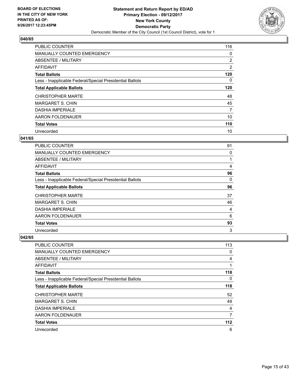

| <b>PUBLIC COUNTER</b>                                    | 116 |
|----------------------------------------------------------|-----|
| <b>MANUALLY COUNTED EMERGENCY</b>                        | 0   |
| ABSENTEE / MILITARY                                      | 2   |
| <b>AFFIDAVIT</b>                                         | 2   |
| <b>Total Ballots</b>                                     | 120 |
| Less - Inapplicable Federal/Special Presidential Ballots | 0   |
| <b>Total Applicable Ballots</b>                          | 120 |
| <b>CHRISTOPHER MARTE</b>                                 | 48  |
| <b>MARGARET S. CHIN</b>                                  | 45  |
| <b>DASHIA IMPERIALE</b>                                  | 7   |
| AARON FOLDENAUER                                         | 10  |
| <b>Total Votes</b>                                       | 110 |
| Unrecorded                                               | 10  |

## **041/65**

| <b>PUBLIC COUNTER</b>                                    | 91 |
|----------------------------------------------------------|----|
| <b>MANUALLY COUNTED EMERGENCY</b>                        | 0  |
| ABSENTEE / MILITARY                                      |    |
| AFFIDAVIT                                                | 4  |
| <b>Total Ballots</b>                                     | 96 |
| Less - Inapplicable Federal/Special Presidential Ballots | 0  |
| <b>Total Applicable Ballots</b>                          | 96 |
| <b>CHRISTOPHER MARTE</b>                                 | 37 |
| <b>MARGARET S. CHIN</b>                                  | 46 |
| <b>DASHIA IMPERIALE</b>                                  | 4  |
| AARON FOLDENAUER                                         | 6  |
| <b>Total Votes</b>                                       | 93 |
| Unrecorded                                               | 3  |

| <b>PUBLIC COUNTER</b>                                    | 113   |
|----------------------------------------------------------|-------|
| <b>MANUALLY COUNTED EMERGENCY</b>                        | 0     |
| ABSENTEE / MILITARY                                      | 4     |
| AFFIDAVIT                                                | 1     |
| <b>Total Ballots</b>                                     | 118   |
| Less - Inapplicable Federal/Special Presidential Ballots | 0     |
| <b>Total Applicable Ballots</b>                          | 118   |
| <b>CHRISTOPHER MARTE</b>                                 | 52    |
| <b>MARGARET S. CHIN</b>                                  | 49    |
| <b>DASHIA IMPERIALE</b>                                  | 4     |
| AARON FOLDENAUER                                         | 7     |
| <b>Total Votes</b>                                       | $112$ |
| Unrecorded                                               | 6     |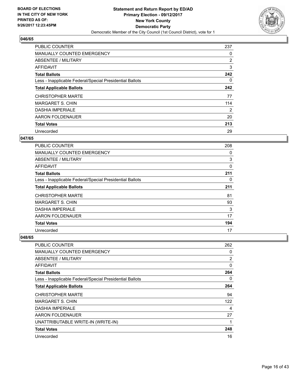

| <b>PUBLIC COUNTER</b>                                    | 237 |
|----------------------------------------------------------|-----|
| <b>MANUALLY COUNTED EMERGENCY</b>                        | 0   |
| ABSENTEE / MILITARY                                      | 2   |
| <b>AFFIDAVIT</b>                                         | 3   |
| <b>Total Ballots</b>                                     | 242 |
| Less - Inapplicable Federal/Special Presidential Ballots | 0   |
| <b>Total Applicable Ballots</b>                          | 242 |
| <b>CHRISTOPHER MARTE</b>                                 | 77  |
| <b>MARGARET S. CHIN</b>                                  | 114 |
| <b>DASHIA IMPERIALE</b>                                  | 2   |
| AARON FOLDENAUER                                         | 20  |
| <b>Total Votes</b>                                       | 213 |
| Unrecorded                                               | 29  |

## **047/65**

| <b>PUBLIC COUNTER</b>                                    | 208 |
|----------------------------------------------------------|-----|
| <b>MANUALLY COUNTED EMERGENCY</b>                        | 0   |
| ABSENTEE / MILITARY                                      | 3   |
| <b>AFFIDAVIT</b>                                         | 0   |
| <b>Total Ballots</b>                                     | 211 |
| Less - Inapplicable Federal/Special Presidential Ballots | 0   |
| <b>Total Applicable Ballots</b>                          | 211 |
| <b>CHRISTOPHER MARTE</b>                                 | 81  |
| <b>MARGARET S. CHIN</b>                                  | 93  |
| <b>DASHIA IMPERIALE</b>                                  | 3   |
| AARON FOLDENAUER                                         | 17  |
| <b>Total Votes</b>                                       | 194 |
| Unrecorded                                               | 17  |

| <b>PUBLIC COUNTER</b>                                    | 262            |
|----------------------------------------------------------|----------------|
| <b>MANUALLY COUNTED EMERGENCY</b>                        | 0              |
| ABSENTEE / MILITARY                                      | $\overline{2}$ |
| AFFIDAVIT                                                | 0              |
| <b>Total Ballots</b>                                     | 264            |
| Less - Inapplicable Federal/Special Presidential Ballots | 0              |
| <b>Total Applicable Ballots</b>                          | 264            |
| <b>CHRISTOPHER MARTE</b>                                 | 94             |
| <b>MARGARET S. CHIN</b>                                  | 122            |
| <b>DASHIA IMPERIALE</b>                                  | 4              |
| AARON FOLDENAUER                                         | 27             |
| UNATTRIBUTABLE WRITE-IN (WRITE-IN)                       | 1              |
| <b>Total Votes</b>                                       | 248            |
| Unrecorded                                               | 16             |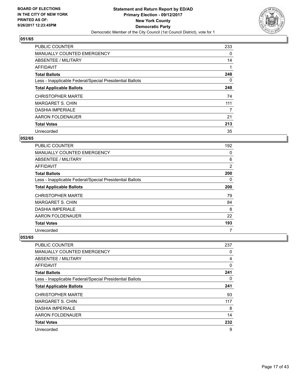

| <b>PUBLIC COUNTER</b>                                    | 233 |
|----------------------------------------------------------|-----|
| <b>MANUALLY COUNTED EMERGENCY</b>                        | 0   |
| ABSENTEE / MILITARY                                      | 14  |
| <b>AFFIDAVIT</b>                                         |     |
| <b>Total Ballots</b>                                     | 248 |
| Less - Inapplicable Federal/Special Presidential Ballots | 0   |
| <b>Total Applicable Ballots</b>                          | 248 |
| <b>CHRISTOPHER MARTE</b>                                 | 74  |
| <b>MARGARET S. CHIN</b>                                  | 111 |
| <b>DASHIA IMPERIALE</b>                                  | 7   |
| AARON FOLDENAUER                                         | 21  |
| <b>Total Votes</b>                                       | 213 |
| Unrecorded                                               | 35  |

## **052/65**

| PUBLIC COUNTER                                           | 192 |
|----------------------------------------------------------|-----|
| <b>MANUALLY COUNTED EMERGENCY</b>                        | 0   |
| ABSENTEE / MILITARY                                      | 6   |
| <b>AFFIDAVIT</b>                                         | 2   |
| <b>Total Ballots</b>                                     | 200 |
| Less - Inapplicable Federal/Special Presidential Ballots | 0   |
| <b>Total Applicable Ballots</b>                          | 200 |
| <b>CHRISTOPHER MARTE</b>                                 | 79  |
| <b>MARGARET S. CHIN</b>                                  | 84  |
| <b>DASHIA IMPERIALE</b>                                  | 8   |
| AARON FOLDENAUER                                         | 22  |
| <b>Total Votes</b>                                       | 193 |
| Unrecorded                                               | 7   |

| <b>PUBLIC COUNTER</b>                                    | 237 |
|----------------------------------------------------------|-----|
| <b>MANUALLY COUNTED EMERGENCY</b>                        | 0   |
| ABSENTEE / MILITARY                                      | 4   |
| AFFIDAVIT                                                | 0   |
| <b>Total Ballots</b>                                     | 241 |
| Less - Inapplicable Federal/Special Presidential Ballots | 0   |
| <b>Total Applicable Ballots</b>                          | 241 |
| <b>CHRISTOPHER MARTE</b>                                 | 93  |
| <b>MARGARET S. CHIN</b>                                  | 117 |
| <b>DASHIA IMPERIALE</b>                                  | 8   |
| AARON FOLDENAUER                                         | 14  |
| <b>Total Votes</b>                                       | 232 |
| Unrecorded                                               | 9   |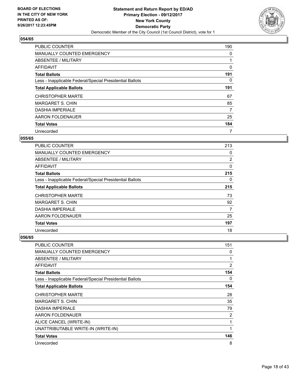

| <b>PUBLIC COUNTER</b>                                    | 190 |
|----------------------------------------------------------|-----|
| <b>MANUALLY COUNTED EMERGENCY</b>                        | 0   |
| ABSENTEE / MILITARY                                      |     |
| <b>AFFIDAVIT</b>                                         | 0   |
| <b>Total Ballots</b>                                     | 191 |
| Less - Inapplicable Federal/Special Presidential Ballots | 0   |
| <b>Total Applicable Ballots</b>                          | 191 |
| <b>CHRISTOPHER MARTE</b>                                 | 67  |
| <b>MARGARET S. CHIN</b>                                  | 85  |
| <b>DASHIA IMPERIALE</b>                                  | 7   |
| AARON FOLDENAUER                                         | 25  |
| <b>Total Votes</b>                                       | 184 |
| Unrecorded                                               | 7   |

## **055/65**

| <b>PUBLIC COUNTER</b>                                    | 213 |
|----------------------------------------------------------|-----|
| <b>MANUALLY COUNTED EMERGENCY</b>                        | 0   |
| ABSENTEE / MILITARY                                      | 2   |
| <b>AFFIDAVIT</b>                                         | 0   |
| <b>Total Ballots</b>                                     | 215 |
| Less - Inapplicable Federal/Special Presidential Ballots | 0   |
| <b>Total Applicable Ballots</b>                          | 215 |
| <b>CHRISTOPHER MARTE</b>                                 | 73  |
| <b>MARGARET S. CHIN</b>                                  | 92  |
| <b>DASHIA IMPERIALE</b>                                  | 7   |
| AARON FOLDENAUER                                         | 25  |
| <b>Total Votes</b>                                       | 197 |
| Unrecorded                                               | 18  |

| PUBLIC COUNTER                                           | 151            |
|----------------------------------------------------------|----------------|
| <b>MANUALLY COUNTED EMERGENCY</b>                        | 0              |
| <b>ABSENTEE / MILITARY</b>                               | 1              |
| AFFIDAVIT                                                | $\overline{2}$ |
| <b>Total Ballots</b>                                     | 154            |
| Less - Inapplicable Federal/Special Presidential Ballots | 0              |
| <b>Total Applicable Ballots</b>                          | 154            |
| <b>CHRISTOPHER MARTE</b>                                 | 28             |
| <b>MARGARET S. CHIN</b>                                  | 35             |
| <b>DASHIA IMPERIALE</b>                                  | 79             |
| AARON FOLDENAUER                                         | 2              |
| ALICE CANCEL (WRITE-IN)                                  | 1              |
| UNATTRIBUTABLE WRITE-IN (WRITE-IN)                       | 1              |
| <b>Total Votes</b>                                       | 146            |
| Unrecorded                                               | 8              |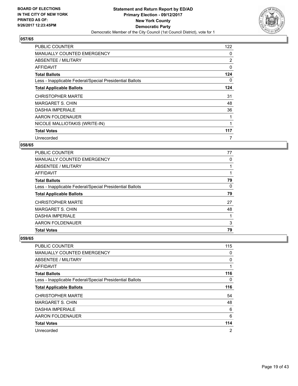

| <b>PUBLIC COUNTER</b>                                    | 122 |
|----------------------------------------------------------|-----|
| <b>MANUALLY COUNTED EMERGENCY</b>                        | 0   |
| <b>ABSENTEE / MILITARY</b>                               | 2   |
| AFFIDAVIT                                                | 0   |
| <b>Total Ballots</b>                                     | 124 |
| Less - Inapplicable Federal/Special Presidential Ballots | 0   |
| <b>Total Applicable Ballots</b>                          | 124 |
| <b>CHRISTOPHER MARTE</b>                                 | 31  |
| MARGARET S. CHIN                                         | 48  |
| <b>DASHIA IMPERIALE</b>                                  | 36  |
| AARON FOLDENAUER                                         |     |
| NICOLE MALLIOTAKIS (WRITE-IN)                            | 1   |
| <b>Total Votes</b>                                       | 117 |
| Unrecorded                                               | 7   |

## **058/65**

| <b>PUBLIC COUNTER</b>                                    | 77 |
|----------------------------------------------------------|----|
| <b>MANUALLY COUNTED EMERGENCY</b>                        | 0  |
| ABSENTEE / MILITARY                                      |    |
| AFFIDAVIT                                                |    |
| <b>Total Ballots</b>                                     | 79 |
| Less - Inapplicable Federal/Special Presidential Ballots | 0  |
| <b>Total Applicable Ballots</b>                          | 79 |
| <b>CHRISTOPHER MARTE</b>                                 | 27 |
| MARGARET S. CHIN                                         | 48 |
| <b>DASHIA IMPERIALE</b>                                  |    |
| AARON FOLDENAUER                                         | 3  |
| <b>Total Votes</b>                                       | 79 |

| <b>PUBLIC COUNTER</b>                                    | 115            |
|----------------------------------------------------------|----------------|
| <b>MANUALLY COUNTED EMERGENCY</b>                        | 0              |
| ABSENTEE / MILITARY                                      | 0              |
| AFFIDAVIT                                                | 1              |
| <b>Total Ballots</b>                                     | 116            |
| Less - Inapplicable Federal/Special Presidential Ballots | 0              |
| <b>Total Applicable Ballots</b>                          | 116            |
| <b>CHRISTOPHER MARTE</b>                                 | 54             |
| <b>MARGARET S. CHIN</b>                                  | 48             |
| <b>DASHIA IMPERIALE</b>                                  | 6              |
| AARON FOLDENAUER                                         | 6              |
| <b>Total Votes</b>                                       | 114            |
| Unrecorded                                               | $\overline{2}$ |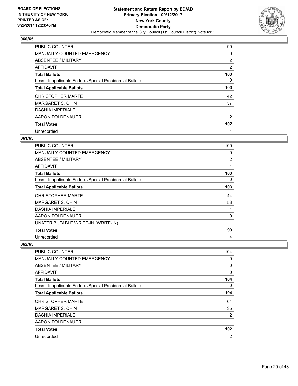

| PUBLIC COUNTER                                           | 99  |
|----------------------------------------------------------|-----|
| <b>MANUALLY COUNTED EMERGENCY</b>                        | 0   |
| ABSENTEE / MILITARY                                      | 2   |
| <b>AFFIDAVIT</b>                                         | 2   |
| <b>Total Ballots</b>                                     | 103 |
| Less - Inapplicable Federal/Special Presidential Ballots | 0   |
| <b>Total Applicable Ballots</b>                          | 103 |
| <b>CHRISTOPHER MARTE</b>                                 | 42  |
| <b>MARGARET S. CHIN</b>                                  | 57  |
| <b>DASHIA IMPERIALE</b>                                  | 1   |
| AARON FOLDENAUER                                         | 2   |
| <b>Total Votes</b>                                       | 102 |
| Unrecorded                                               | 1   |

# **061/65**

| <b>PUBLIC COUNTER</b>                                    | 100            |
|----------------------------------------------------------|----------------|
| <b>MANUALLY COUNTED EMERGENCY</b>                        | 0              |
| <b>ABSENTEE / MILITARY</b>                               | $\overline{2}$ |
| AFFIDAVIT                                                | 1              |
| <b>Total Ballots</b>                                     | 103            |
| Less - Inapplicable Federal/Special Presidential Ballots | 0              |
| <b>Total Applicable Ballots</b>                          | 103            |
| <b>CHRISTOPHER MARTE</b>                                 | 44             |
| <b>MARGARET S. CHIN</b>                                  | 53             |
| <b>DASHIA IMPERIALE</b>                                  | 1              |
| AARON FOLDENAUER                                         | 0              |
| UNATTRIBUTABLE WRITE-IN (WRITE-IN)                       | 1              |
| <b>Total Votes</b>                                       | 99             |
| Unrecorded                                               | 4              |

| <b>PUBLIC COUNTER</b>                                    | 104              |
|----------------------------------------------------------|------------------|
| <b>MANUALLY COUNTED EMERGENCY</b>                        | 0                |
| ABSENTEE / MILITARY                                      | 0                |
| AFFIDAVIT                                                | 0                |
| <b>Total Ballots</b>                                     | 104              |
| Less - Inapplicable Federal/Special Presidential Ballots | 0                |
| <b>Total Applicable Ballots</b>                          | 104              |
| <b>CHRISTOPHER MARTE</b>                                 | 64               |
| <b>MARGARET S. CHIN</b>                                  | 35               |
| <b>DASHIA IMPERIALE</b>                                  | 2                |
| AARON FOLDENAUER                                         | 1                |
| <b>Total Votes</b>                                       | 102 <sub>2</sub> |
| Unrecorded                                               | 2                |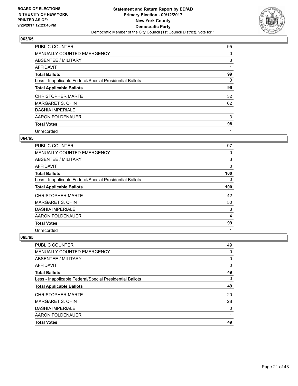

| <b>PUBLIC COUNTER</b>                                    | 95 |
|----------------------------------------------------------|----|
| <b>MANUALLY COUNTED EMERGENCY</b>                        | 0  |
| ABSENTEE / MILITARY                                      | 3  |
| <b>AFFIDAVIT</b>                                         | 1  |
| <b>Total Ballots</b>                                     | 99 |
| Less - Inapplicable Federal/Special Presidential Ballots | 0  |
| <b>Total Applicable Ballots</b>                          | 99 |
| <b>CHRISTOPHER MARTE</b>                                 | 32 |
| <b>MARGARET S. CHIN</b>                                  | 62 |
| <b>DASHIA IMPERIALE</b>                                  |    |
| AARON FOLDENAUER                                         | 3  |
| <b>Total Votes</b>                                       | 98 |
| Unrecorded                                               | 1  |

## **064/65**

| <b>PUBLIC COUNTER</b>                                    | 97  |
|----------------------------------------------------------|-----|
| <b>MANUALLY COUNTED EMERGENCY</b>                        | 0   |
| ABSENTEE / MILITARY                                      | 3   |
| <b>AFFIDAVIT</b>                                         | 0   |
| <b>Total Ballots</b>                                     | 100 |
| Less - Inapplicable Federal/Special Presidential Ballots | 0   |
| <b>Total Applicable Ballots</b>                          | 100 |
| <b>CHRISTOPHER MARTE</b>                                 | 42  |
| <b>MARGARET S. CHIN</b>                                  | 50  |
| <b>DASHIA IMPERIALE</b>                                  | 3   |
| AARON FOLDENAUER                                         | 4   |
| <b>Total Votes</b>                                       | 99  |
| Unrecorded                                               | 1   |

| <b>PUBLIC COUNTER</b>                                    | 49 |
|----------------------------------------------------------|----|
| <b>MANUALLY COUNTED EMERGENCY</b>                        | 0  |
| ABSENTEE / MILITARY                                      | 0  |
| AFFIDAVIT                                                | 0  |
| <b>Total Ballots</b>                                     | 49 |
| Less - Inapplicable Federal/Special Presidential Ballots | 0  |
| <b>Total Applicable Ballots</b>                          | 49 |
| <b>CHRISTOPHER MARTE</b>                                 | 20 |
| <b>MARGARET S. CHIN</b>                                  | 28 |
| <b>DASHIA IMPERIALE</b>                                  | 0  |
| AARON FOLDENAUER                                         | 1  |
| <b>Total Votes</b>                                       | 49 |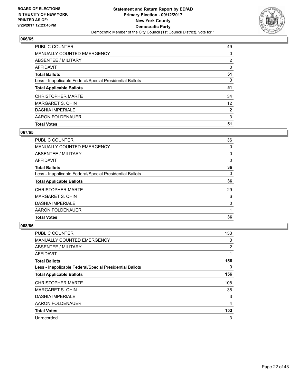

| <b>PUBLIC COUNTER</b>                                    | 49             |
|----------------------------------------------------------|----------------|
| <b>MANUALLY COUNTED EMERGENCY</b>                        | 0              |
| ABSENTEE / MILITARY                                      | $\overline{2}$ |
| AFFIDAVIT                                                | 0              |
| <b>Total Ballots</b>                                     | 51             |
| Less - Inapplicable Federal/Special Presidential Ballots | 0              |
| <b>Total Applicable Ballots</b>                          | 51             |
| <b>CHRISTOPHER MARTE</b>                                 | 34             |
| MARGARET S. CHIN                                         | 12             |
| <b>DASHIA IMPERIALE</b>                                  | 2              |
| AARON FOLDENAUER                                         | 3              |
| <b>Total Votes</b>                                       | 51             |

## **067/65**

| <b>PUBLIC COUNTER</b>                                    | 36 |
|----------------------------------------------------------|----|
| <b>MANUALLY COUNTED EMERGENCY</b>                        | 0  |
| ABSENTEE / MILITARY                                      | 0  |
| AFFIDAVIT                                                | 0  |
| <b>Total Ballots</b>                                     | 36 |
| Less - Inapplicable Federal/Special Presidential Ballots | 0  |
| <b>Total Applicable Ballots</b>                          | 36 |
| <b>CHRISTOPHER MARTE</b>                                 | 29 |
| <b>MARGARET S. CHIN</b>                                  | 6  |
| <b>DASHIA IMPERIALE</b>                                  | 0  |
| AARON FOLDENAUER                                         |    |
| <b>Total Votes</b>                                       | 36 |

| <b>PUBLIC COUNTER</b>                                    | 153 |
|----------------------------------------------------------|-----|
| <b>MANUALLY COUNTED EMERGENCY</b>                        | 0   |
| ABSENTEE / MILITARY                                      | 2   |
| AFFIDAVIT                                                | 1   |
| <b>Total Ballots</b>                                     | 156 |
| Less - Inapplicable Federal/Special Presidential Ballots | 0   |
| <b>Total Applicable Ballots</b>                          | 156 |
| <b>CHRISTOPHER MARTE</b>                                 | 108 |
| <b>MARGARET S. CHIN</b>                                  | 38  |
| <b>DASHIA IMPERIALE</b>                                  | 3   |
| AARON FOLDENAUER                                         | 4   |
| <b>Total Votes</b>                                       | 153 |
| Unrecorded                                               | 3   |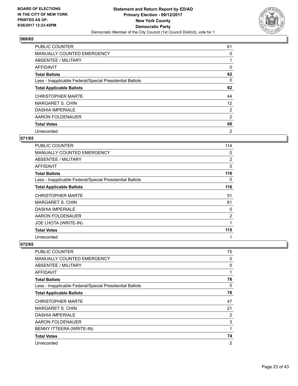

| <b>PUBLIC COUNTER</b>                                    | 61             |
|----------------------------------------------------------|----------------|
| <b>MANUALLY COUNTED EMERGENCY</b>                        | 0              |
| ABSENTEE / MILITARY                                      |                |
| <b>AFFIDAVIT</b>                                         | 0              |
| <b>Total Ballots</b>                                     | 62             |
| Less - Inapplicable Federal/Special Presidential Ballots | 0              |
| <b>Total Applicable Ballots</b>                          | 62             |
| <b>CHRISTOPHER MARTE</b>                                 | 44             |
| <b>MARGARET S. CHIN</b>                                  | 12             |
| <b>DASHIA IMPERIALE</b>                                  | $\overline{2}$ |
| AARON FOLDENAUER                                         | 2              |
| <b>Total Votes</b>                                       | 60             |
| Unrecorded                                               | $\overline{2}$ |

# **071/65**

| <b>PUBLIC COUNTER</b>                                    | 114            |
|----------------------------------------------------------|----------------|
| <b>MANUALLY COUNTED EMERGENCY</b>                        | 0              |
| <b>ABSENTEE / MILITARY</b>                               | $\overline{2}$ |
| <b>AFFIDAVIT</b>                                         | $\mathbf{0}$   |
| <b>Total Ballots</b>                                     | 116            |
| Less - Inapplicable Federal/Special Presidential Ballots | 0              |
| <b>Total Applicable Ballots</b>                          | 116            |
| <b>CHRISTOPHER MARTE</b>                                 | 51             |
| <b>MARGARET S. CHIN</b>                                  | 61             |
| <b>DASHIA IMPERIALE</b>                                  | 0              |
| AARON FOLDENAUER                                         | 2              |
| <b>JOE LHOTA (WRITE-IN)</b>                              | 1              |
| <b>Total Votes</b>                                       | 115            |
| Unrecorded                                               | 1              |

| <b>PUBLIC COUNTER</b>                                    | 75             |
|----------------------------------------------------------|----------------|
| <b>MANUALLY COUNTED EMERGENCY</b>                        | 0              |
| ABSENTEE / MILITARY                                      | 0              |
| AFFIDAVIT                                                | 1              |
| <b>Total Ballots</b>                                     | 76             |
| Less - Inapplicable Federal/Special Presidential Ballots | 0              |
| <b>Total Applicable Ballots</b>                          | 76             |
| <b>CHRISTOPHER MARTE</b>                                 | 47             |
| MARGARET S. CHIN                                         | 21             |
| <b>DASHIA IMPERIALE</b>                                  | 2              |
| AARON FOLDENAUER                                         | 3              |
| BENNY ITTEERA (WRITE-IN)                                 | 1              |
| <b>Total Votes</b>                                       | 74             |
| Unrecorded                                               | $\overline{2}$ |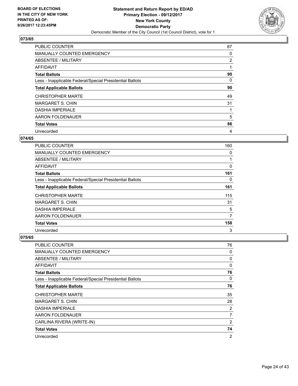

| <b>PUBLIC COUNTER</b>                                    | 87 |
|----------------------------------------------------------|----|
| <b>MANUALLY COUNTED EMERGENCY</b>                        | 0  |
| ABSENTEE / MILITARY                                      | 2  |
| AFFIDAVIT                                                |    |
| <b>Total Ballots</b>                                     | 90 |
| Less - Inapplicable Federal/Special Presidential Ballots | 0  |
| <b>Total Applicable Ballots</b>                          | 90 |
| <b>CHRISTOPHER MARTE</b>                                 | 49 |
| <b>MARGARET S. CHIN</b>                                  | 31 |
| <b>DASHIA IMPERIALE</b>                                  |    |
| AARON FOLDENAUER                                         | 5  |
| <b>Total Votes</b>                                       | 86 |
| Unrecorded                                               | 4  |

# **074/65**

| <b>PUBLIC COUNTER</b>                                    | 160 |
|----------------------------------------------------------|-----|
| <b>MANUALLY COUNTED EMERGENCY</b>                        | 0   |
| ABSENTEE / MILITARY                                      |     |
| <b>AFFIDAVIT</b>                                         | 0   |
| <b>Total Ballots</b>                                     | 161 |
| Less - Inapplicable Federal/Special Presidential Ballots | 0   |
| <b>Total Applicable Ballots</b>                          | 161 |
| <b>CHRISTOPHER MARTE</b>                                 | 115 |
| <b>MARGARET S. CHIN</b>                                  | 31  |
| <b>DASHIA IMPERIALE</b>                                  | 5   |
| AARON FOLDENAUER                                         | 7   |
| <b>Total Votes</b>                                       | 158 |
| Unrecorded                                               | 3   |

| <b>PUBLIC COUNTER</b>                                    | 76             |
|----------------------------------------------------------|----------------|
| <b>MANUALLY COUNTED EMERGENCY</b>                        | 0              |
| ABSENTEE / MILITARY                                      | 0              |
| <b>AFFIDAVIT</b>                                         | 0              |
| <b>Total Ballots</b>                                     | 76             |
| Less - Inapplicable Federal/Special Presidential Ballots | 0              |
| <b>Total Applicable Ballots</b>                          | 76             |
| <b>CHRISTOPHER MARTE</b>                                 | 35             |
| <b>MARGARET S. CHIN</b>                                  | 28             |
| <b>DASHIA IMPERIALE</b>                                  | 2              |
| AARON FOLDENAUER                                         | 7              |
| CARLINA RIVERA (WRITE-IN)                                | $\overline{2}$ |
| <b>Total Votes</b>                                       | 74             |
| Unrecorded                                               | 2              |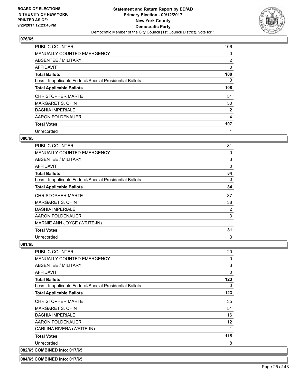

| <b>PUBLIC COUNTER</b>                                    | 106 |
|----------------------------------------------------------|-----|
| <b>MANUALLY COUNTED EMERGENCY</b>                        | 0   |
| ABSENTEE / MILITARY                                      | 2   |
| <b>AFFIDAVIT</b>                                         | 0   |
| <b>Total Ballots</b>                                     | 108 |
| Less - Inapplicable Federal/Special Presidential Ballots | 0   |
| <b>Total Applicable Ballots</b>                          | 108 |
| <b>CHRISTOPHER MARTE</b>                                 | 51  |
| <b>MARGARET S. CHIN</b>                                  | 50  |
| <b>DASHIA IMPERIALE</b>                                  | 2   |
| AARON FOLDENAUER                                         | 4   |
| <b>Total Votes</b>                                       | 107 |
| Unrecorded                                               |     |

#### **080/65**

| PUBLIC COUNTER                                           | 81       |
|----------------------------------------------------------|----------|
| <b>MANUALLY COUNTED EMERGENCY</b>                        | 0        |
| <b>ABSENTEE / MILITARY</b>                               | 3        |
| AFFIDAVIT                                                | $\Omega$ |
| <b>Total Ballots</b>                                     | 84       |
| Less - Inapplicable Federal/Special Presidential Ballots | 0        |
| <b>Total Applicable Ballots</b>                          | 84       |
| CHRISTOPHER MARTE                                        | 37       |
| <b>MARGARET S. CHIN</b>                                  | 38       |
| <b>DASHIA IMPERIALE</b>                                  | 2        |
| AARON FOLDENAUER                                         | 3        |
| MARNIE ANN JOYCE (WRITE-IN)                              | 1        |
| <b>Total Votes</b>                                       | 81       |
| Unrecorded                                               | 3        |

#### **081/65**

| <b>PUBLIC COUNTER</b>                                    | 120 |
|----------------------------------------------------------|-----|
| <b>MANUALLY COUNTED EMERGENCY</b>                        | 0   |
| ABSENTEE / MILITARY                                      | 3   |
| AFFIDAVIT                                                | 0   |
| <b>Total Ballots</b>                                     | 123 |
| Less - Inapplicable Federal/Special Presidential Ballots | 0   |
| <b>Total Applicable Ballots</b>                          | 123 |
| <b>CHRISTOPHER MARTE</b>                                 | 35  |
| <b>MARGARET S. CHIN</b>                                  | 51  |
| <b>DASHIA IMPERIALE</b>                                  | 16  |
| AARON FOLDENAUER                                         | 12  |
| CARLINA RIVERA (WRITE-IN)                                |     |
| <b>Total Votes</b>                                       | 115 |
| Unrecorded                                               | 8   |
| 082/65 COMBINED into: 017/65                             |     |

#### **084/65 COMBINED into: 017/65**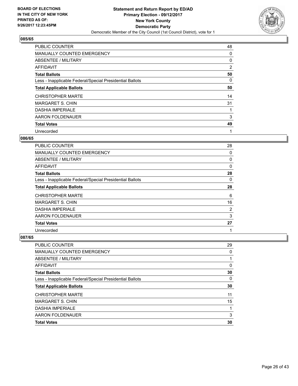

| <b>PUBLIC COUNTER</b>                                    | 48 |
|----------------------------------------------------------|----|
| <b>MANUALLY COUNTED EMERGENCY</b>                        | 0  |
| ABSENTEE / MILITARY                                      | 0  |
| AFFIDAVIT                                                | 2  |
| <b>Total Ballots</b>                                     | 50 |
| Less - Inapplicable Federal/Special Presidential Ballots | 0  |
| <b>Total Applicable Ballots</b>                          | 50 |
| <b>CHRISTOPHER MARTE</b>                                 | 14 |
| <b>MARGARET S. CHIN</b>                                  | 31 |
| <b>DASHIA IMPERIALE</b>                                  |    |
| AARON FOLDENAUER                                         | 3  |
| <b>Total Votes</b>                                       | 49 |
| Unrecorded                                               | 1  |

## **086/65**

| <b>PUBLIC COUNTER</b>                                    | 28 |
|----------------------------------------------------------|----|
| <b>MANUALLY COUNTED EMERGENCY</b>                        | 0  |
| ABSENTEE / MILITARY                                      | 0  |
| AFFIDAVIT                                                | 0  |
| <b>Total Ballots</b>                                     | 28 |
| Less - Inapplicable Federal/Special Presidential Ballots | 0  |
| <b>Total Applicable Ballots</b>                          | 28 |
| <b>CHRISTOPHER MARTE</b>                                 | 6  |
| <b>MARGARET S. CHIN</b>                                  | 16 |
| <b>DASHIA IMPERIALE</b>                                  | 2  |
| AARON FOLDENAUER                                         | 3  |
| <b>Total Votes</b>                                       | 27 |
| Unrecorded                                               | 1  |

| PUBLIC COUNTER                                           | 29 |
|----------------------------------------------------------|----|
| <b>MANUALLY COUNTED EMERGENCY</b>                        | 0  |
| ABSENTEE / MILITARY                                      |    |
| AFFIDAVIT                                                | 0  |
| <b>Total Ballots</b>                                     | 30 |
| Less - Inapplicable Federal/Special Presidential Ballots | 0  |
| <b>Total Applicable Ballots</b>                          | 30 |
| <b>CHRISTOPHER MARTE</b>                                 | 11 |
| <b>MARGARET S. CHIN</b>                                  | 15 |
| <b>DASHIA IMPERIALE</b>                                  | 1  |
| AARON FOLDENAUER                                         | 3  |
| <b>Total Votes</b>                                       | 30 |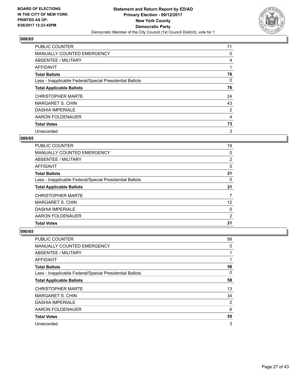

| <b>PUBLIC COUNTER</b>                                    | 71             |
|----------------------------------------------------------|----------------|
| <b>MANUALLY COUNTED EMERGENCY</b>                        | 0              |
| ABSENTEE / MILITARY                                      | 4              |
| AFFIDAVIT                                                |                |
| <b>Total Ballots</b>                                     | 76             |
| Less - Inapplicable Federal/Special Presidential Ballots | 0              |
| <b>Total Applicable Ballots</b>                          | 76             |
| <b>CHRISTOPHER MARTE</b>                                 | 24             |
| <b>MARGARET S. CHIN</b>                                  | 43             |
| <b>DASHIA IMPERIALE</b>                                  | $\overline{2}$ |
| AARON FOLDENAUER                                         | 4              |
| <b>Total Votes</b>                                       | 73             |
| Unrecorded                                               | 3              |

## **089/65**

| <b>PUBLIC COUNTER</b>                                    | 19 |
|----------------------------------------------------------|----|
| MANUALLY COUNTED EMERGENCY                               | 0  |
| ABSENTEE / MILITARY                                      | 2  |
| AFFIDAVIT                                                | 0  |
| <b>Total Ballots</b>                                     | 21 |
| Less - Inapplicable Federal/Special Presidential Ballots | 0  |
| <b>Total Applicable Ballots</b>                          | 21 |
| <b>CHRISTOPHER MARTE</b>                                 | 7  |
| <b>MARGARET S. CHIN</b>                                  | 12 |
| <b>DASHIA IMPERIALE</b>                                  | 0  |
| AARON FOLDENAUER                                         | 2  |
| <b>Total Votes</b>                                       | 21 |

| PUBLIC COUNTER                                           | 56 |
|----------------------------------------------------------|----|
| MANUALLY COUNTED EMERGENCY                               | 0  |
| ABSENTEE / MILITARY                                      | 1  |
| AFFIDAVIT                                                | 1  |
| <b>Total Ballots</b>                                     | 58 |
| Less - Inapplicable Federal/Special Presidential Ballots | 0  |
| <b>Total Applicable Ballots</b>                          | 58 |
| <b>CHRISTOPHER MARTE</b>                                 | 13 |
| <b>MARGARET S. CHIN</b>                                  | 34 |
| <b>DASHIA IMPERIALE</b>                                  | 2  |
| AARON FOLDENAUER                                         | 6  |
| <b>Total Votes</b>                                       | 55 |
| Unrecorded                                               | 3  |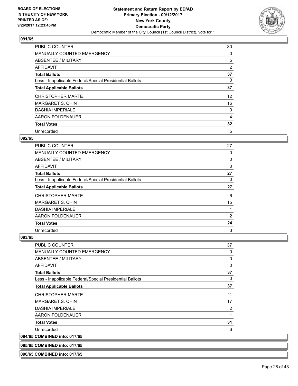

| <b>PUBLIC COUNTER</b>                                    | 30 |
|----------------------------------------------------------|----|
| <b>MANUALLY COUNTED EMERGENCY</b>                        | 0  |
| ABSENTEE / MILITARY                                      | 5  |
| <b>AFFIDAVIT</b>                                         | 2  |
| <b>Total Ballots</b>                                     | 37 |
| Less - Inapplicable Federal/Special Presidential Ballots | 0  |
| <b>Total Applicable Ballots</b>                          | 37 |
| <b>CHRISTOPHER MARTE</b>                                 | 12 |
| <b>MARGARET S. CHIN</b>                                  | 16 |
| <b>DASHIA IMPERIALE</b>                                  | 0  |
| AARON FOLDENAUER                                         | 4  |
| <b>Total Votes</b>                                       | 32 |
| Unrecorded                                               | 5  |

## **092/65**

| PUBLIC COUNTER                                           | 27 |
|----------------------------------------------------------|----|
| <b>MANUALLY COUNTED EMERGENCY</b>                        | 0  |
| ABSENTEE / MILITARY                                      | 0  |
| <b>AFFIDAVIT</b>                                         | 0  |
| <b>Total Ballots</b>                                     | 27 |
| Less - Inapplicable Federal/Special Presidential Ballots | 0  |
| <b>Total Applicable Ballots</b>                          | 27 |
| <b>CHRISTOPHER MARTE</b>                                 | 6  |
| <b>MARGARET S. CHIN</b>                                  | 15 |
| <b>DASHIA IMPERIALE</b>                                  |    |
| AARON FOLDENAUER                                         | 2  |
| <b>Total Votes</b>                                       | 24 |
| Unrecorded                                               | 3  |

## **093/65**

**096/65 COMBINED into: 017/65**

| <b>PUBLIC COUNTER</b>                                    | 37 |
|----------------------------------------------------------|----|
| MANUALLY COUNTED EMERGENCY                               | 0  |
| ABSENTEE / MILITARY                                      | 0  |
| <b>AFFIDAVIT</b>                                         | 0  |
| <b>Total Ballots</b>                                     | 37 |
| Less - Inapplicable Federal/Special Presidential Ballots | 0  |
| <b>Total Applicable Ballots</b>                          | 37 |
| <b>CHRISTOPHER MARTE</b>                                 | 11 |
| <b>MARGARET S. CHIN</b>                                  | 17 |
| <b>DASHIA IMPERIALE</b>                                  | 2  |
| AARON FOLDENAUER                                         | 1  |
| <b>Total Votes</b>                                       | 31 |
| Unrecorded                                               | 6  |
| 094/65 COMBINED into: 017/65                             |    |
| 095/65 COMBINED into: 017/65                             |    |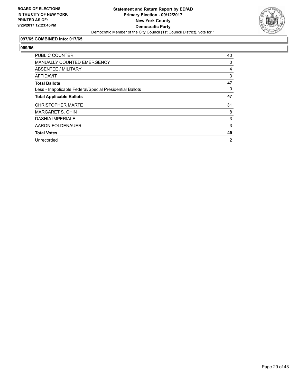

## **097/65 COMBINED into: 017/65**

| <b>PUBLIC COUNTER</b>                                    | 40 |
|----------------------------------------------------------|----|
| <b>MANUALLY COUNTED EMERGENCY</b>                        | 0  |
| ABSENTEE / MILITARY                                      | 4  |
| <b>AFFIDAVIT</b>                                         | 3  |
| <b>Total Ballots</b>                                     | 47 |
| Less - Inapplicable Federal/Special Presidential Ballots | 0  |
| <b>Total Applicable Ballots</b>                          | 47 |
| <b>CHRISTOPHER MARTE</b>                                 | 31 |
| <b>MARGARET S. CHIN</b>                                  | 8  |
| <b>DASHIA IMPERIALE</b>                                  | 3  |
| AARON FOLDENAUER                                         | 3  |
| <b>Total Votes</b>                                       | 45 |
| Unrecorded                                               | 2  |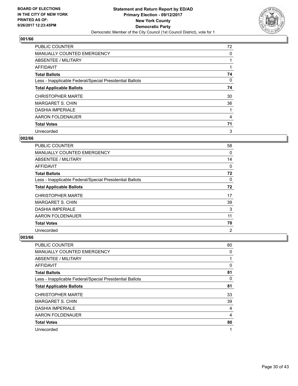

| <b>PUBLIC COUNTER</b>                                    | 72 |
|----------------------------------------------------------|----|
| <b>MANUALLY COUNTED EMERGENCY</b>                        | 0  |
| ABSENTEE / MILITARY                                      |    |
| <b>AFFIDAVIT</b>                                         |    |
| <b>Total Ballots</b>                                     | 74 |
| Less - Inapplicable Federal/Special Presidential Ballots | 0  |
| <b>Total Applicable Ballots</b>                          | 74 |
| <b>CHRISTOPHER MARTE</b>                                 | 30 |
| <b>MARGARET S. CHIN</b>                                  | 36 |
| <b>DASHIA IMPERIALE</b>                                  |    |
| AARON FOLDENAUER                                         | 4  |
| <b>Total Votes</b>                                       | 71 |
| Unrecorded                                               | 3  |

## **002/66**

| PUBLIC COUNTER                                           | 58             |
|----------------------------------------------------------|----------------|
| <b>MANUALLY COUNTED EMERGENCY</b>                        | 0              |
| ABSENTEE / MILITARY                                      | 14             |
| <b>AFFIDAVIT</b>                                         | 0              |
| <b>Total Ballots</b>                                     | 72             |
| Less - Inapplicable Federal/Special Presidential Ballots | 0              |
| <b>Total Applicable Ballots</b>                          | 72             |
| <b>CHRISTOPHER MARTE</b>                                 | 17             |
| <b>MARGARET S. CHIN</b>                                  | 39             |
| <b>DASHIA IMPERIALE</b>                                  | 3              |
| AARON FOLDENAUER                                         | 11             |
| <b>Total Votes</b>                                       | 70             |
| Unrecorded                                               | $\overline{2}$ |

| PUBLIC COUNTER                                           | 80 |
|----------------------------------------------------------|----|
| MANUALLY COUNTED EMERGENCY                               | 0  |
| ABSENTEE / MILITARY                                      | 1  |
| AFFIDAVIT                                                | 0  |
| <b>Total Ballots</b>                                     | 81 |
| Less - Inapplicable Federal/Special Presidential Ballots | 0  |
| <b>Total Applicable Ballots</b>                          | 81 |
| <b>CHRISTOPHER MARTE</b>                                 | 33 |
| <b>MARGARET S. CHIN</b>                                  | 39 |
| <b>DASHIA IMPERIALE</b>                                  | 4  |
| AARON FOLDENAUER                                         | 4  |
| <b>Total Votes</b>                                       | 80 |
| Unrecorded                                               | 1  |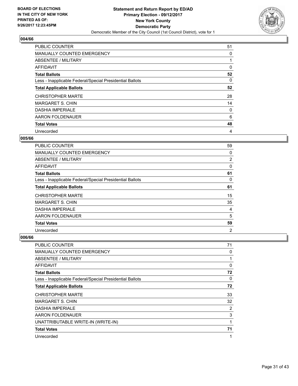

| <b>PUBLIC COUNTER</b>                                    | 51 |
|----------------------------------------------------------|----|
| <b>MANUALLY COUNTED EMERGENCY</b>                        | 0  |
| ABSENTEE / MILITARY                                      |    |
| <b>AFFIDAVIT</b>                                         | 0  |
| <b>Total Ballots</b>                                     | 52 |
| Less - Inapplicable Federal/Special Presidential Ballots | 0  |
| <b>Total Applicable Ballots</b>                          | 52 |
| <b>CHRISTOPHER MARTE</b>                                 | 28 |
| <b>MARGARET S. CHIN</b>                                  | 14 |
| <b>DASHIA IMPERIALE</b>                                  | 0  |
| AARON FOLDENAUER                                         | 6  |
| <b>Total Votes</b>                                       | 48 |
| Unrecorded                                               | 4  |

## **005/66**

| <b>PUBLIC COUNTER</b>                                    | 59             |
|----------------------------------------------------------|----------------|
| <b>MANUALLY COUNTED EMERGENCY</b>                        | 0              |
| ABSENTEE / MILITARY                                      | 2              |
| <b>AFFIDAVIT</b>                                         | 0              |
| <b>Total Ballots</b>                                     | 61             |
| Less - Inapplicable Federal/Special Presidential Ballots | 0              |
| <b>Total Applicable Ballots</b>                          | 61             |
| <b>CHRISTOPHER MARTE</b>                                 | 15             |
| <b>MARGARET S. CHIN</b>                                  | 35             |
| <b>DASHIA IMPERIALE</b>                                  | 4              |
| AARON FOLDENAUER                                         | 5              |
| <b>Total Votes</b>                                       | 59             |
| Unrecorded                                               | $\overline{2}$ |

| PUBLIC COUNTER                                           | 71           |
|----------------------------------------------------------|--------------|
| <b>MANUALLY COUNTED EMERGENCY</b>                        | 0            |
| ABSENTEE / MILITARY                                      | 1            |
| AFFIDAVIT                                                | $\mathbf{0}$ |
| <b>Total Ballots</b>                                     | 72           |
| Less - Inapplicable Federal/Special Presidential Ballots | 0            |
| <b>Total Applicable Ballots</b>                          | 72           |
| <b>CHRISTOPHER MARTE</b>                                 | 33           |
| <b>MARGARET S. CHIN</b>                                  | 32           |
| <b>DASHIA IMPERIALE</b>                                  | 2            |
| AARON FOLDENAUER                                         | 3            |
| UNATTRIBUTABLE WRITE-IN (WRITE-IN)                       | 1            |
| <b>Total Votes</b>                                       | 71           |
| Unrecorded                                               | 1            |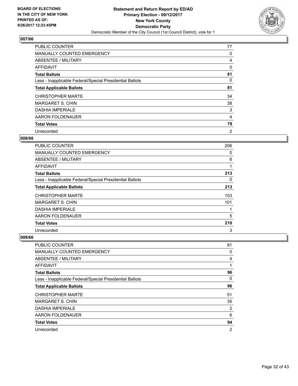

| <b>PUBLIC COUNTER</b>                                    | 77             |
|----------------------------------------------------------|----------------|
| <b>MANUALLY COUNTED EMERGENCY</b>                        | 0              |
| ABSENTEE / MILITARY                                      | 4              |
| <b>AFFIDAVIT</b>                                         | 0              |
| <b>Total Ballots</b>                                     | 81             |
| Less - Inapplicable Federal/Special Presidential Ballots | 0              |
| <b>Total Applicable Ballots</b>                          | 81             |
| <b>CHRISTOPHER MARTE</b>                                 | 34             |
| <b>MARGARET S. CHIN</b>                                  | 38             |
| <b>DASHIA IMPERIALE</b>                                  | 3              |
| AARON FOLDENAUER                                         | 4              |
| <b>Total Votes</b>                                       | 79             |
| Unrecorded                                               | $\overline{2}$ |

#### **008/66**

| <b>PUBLIC COUNTER</b>                                    | 206 |
|----------------------------------------------------------|-----|
| <b>MANUALLY COUNTED EMERGENCY</b>                        | 0   |
| ABSENTEE / MILITARY                                      | 6   |
| <b>AFFIDAVIT</b>                                         |     |
| <b>Total Ballots</b>                                     | 213 |
| Less - Inapplicable Federal/Special Presidential Ballots | 0   |
| <b>Total Applicable Ballots</b>                          | 213 |
| <b>CHRISTOPHER MARTE</b>                                 | 103 |
| <b>MARGARET S. CHIN</b>                                  | 101 |
| <b>DASHIA IMPERIALE</b>                                  |     |
| AARON FOLDENAUER                                         | 5   |
| <b>Total Votes</b>                                       | 210 |
| Unrecorded                                               | 3   |

| <b>PUBLIC COUNTER</b>                                    | 91             |
|----------------------------------------------------------|----------------|
| MANUALLY COUNTED EMERGENCY                               | 0              |
| ABSENTEE / MILITARY                                      | 4              |
| AFFIDAVIT                                                | 1              |
| <b>Total Ballots</b>                                     | 96             |
| Less - Inapplicable Federal/Special Presidential Ballots | 0              |
| <b>Total Applicable Ballots</b>                          | 96             |
| <b>CHRISTOPHER MARTE</b>                                 | 51             |
| <b>MARGARET S. CHIN</b>                                  | 35             |
| <b>DASHIA IMPERIALE</b>                                  | 2              |
| AARON FOLDENAUER                                         | 6              |
| <b>Total Votes</b>                                       | 94             |
| Unrecorded                                               | $\overline{2}$ |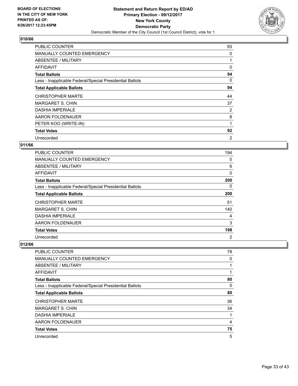

| <b>PUBLIC COUNTER</b>                                    | 93             |
|----------------------------------------------------------|----------------|
| <b>MANUALLY COUNTED EMERGENCY</b>                        | 0              |
| ABSENTEE / MILITARY                                      |                |
| <b>AFFIDAVIT</b>                                         | 0              |
| <b>Total Ballots</b>                                     | 94             |
| Less - Inapplicable Federal/Special Presidential Ballots | 0              |
| <b>Total Applicable Ballots</b>                          | 94             |
| <b>CHRISTOPHER MARTE</b>                                 | 44             |
| <b>MARGARET S. CHIN</b>                                  | 37             |
| <b>DASHIA IMPERIALE</b>                                  | 2              |
| AARON FOLDENAUER                                         | 8              |
| PETER KOO (WRITE-IN)                                     |                |
| <b>Total Votes</b>                                       | 92             |
| Unrecorded                                               | $\overline{2}$ |

## **011/66**

| <b>PUBLIC COUNTER</b>                                    | 194            |
|----------------------------------------------------------|----------------|
| <b>MANUALLY COUNTED EMERGENCY</b>                        | 0              |
| ABSENTEE / MILITARY                                      | 6              |
| AFFIDAVIT                                                | 0              |
| <b>Total Ballots</b>                                     | 200            |
| Less - Inapplicable Federal/Special Presidential Ballots | 0              |
| <b>Total Applicable Ballots</b>                          | 200            |
| <b>CHRISTOPHER MARTE</b>                                 | 51             |
| <b>MARGARET S. CHIN</b>                                  | 140            |
| <b>DASHIA IMPERIALE</b>                                  | 4              |
| AARON FOLDENAUER                                         | 3              |
| <b>Total Votes</b>                                       | 198            |
| Unrecorded                                               | $\overline{2}$ |

| <b>PUBLIC COUNTER</b>                                    | 78 |
|----------------------------------------------------------|----|
| MANUALLY COUNTED EMERGENCY                               | 0  |
| ABSENTEE / MILITARY                                      |    |
| AFFIDAVIT                                                |    |
| <b>Total Ballots</b>                                     | 80 |
| Less - Inapplicable Federal/Special Presidential Ballots | 0  |
| <b>Total Applicable Ballots</b>                          | 80 |
| <b>CHRISTOPHER MARTE</b>                                 | 36 |
| <b>MARGARET S. CHIN</b>                                  | 34 |
| <b>DASHIA IMPERIALE</b>                                  |    |
| AARON FOLDENAUER                                         | 4  |
| <b>Total Votes</b>                                       | 75 |
| Unrecorded                                               | 5  |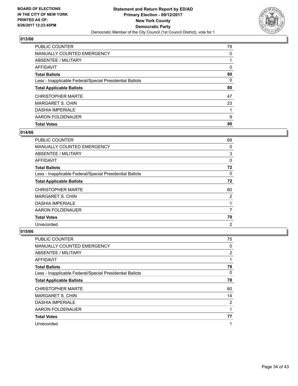

| <b>PUBLIC COUNTER</b>                                    | 79 |
|----------------------------------------------------------|----|
| <b>MANUALLY COUNTED EMERGENCY</b>                        | 0  |
| ABSENTEE / MILITARY                                      |    |
| AFFIDAVIT                                                | 0  |
| <b>Total Ballots</b>                                     | 80 |
| Less - Inapplicable Federal/Special Presidential Ballots | 0  |
| <b>Total Applicable Ballots</b>                          | 80 |
| <b>CHRISTOPHER MARTE</b>                                 | 47 |
| MARGARET S. CHIN                                         | 23 |
| <b>DASHIA IMPERIALE</b>                                  |    |
| AARON FOLDENAUER                                         | 9  |
| <b>Total Votes</b>                                       | 80 |

#### **014/66**

| <b>PUBLIC COUNTER</b>                                    | 69             |
|----------------------------------------------------------|----------------|
| <b>MANUALLY COUNTED EMERGENCY</b>                        | 0              |
| ABSENTEE / MILITARY                                      | 3              |
| AFFIDAVIT                                                | 0              |
| <b>Total Ballots</b>                                     | 72             |
| Less - Inapplicable Federal/Special Presidential Ballots | 0              |
| <b>Total Applicable Ballots</b>                          | 72             |
| <b>CHRISTOPHER MARTE</b>                                 | 60             |
| <b>MARGARET S. CHIN</b>                                  | $\overline{2}$ |
| <b>DASHIA IMPERIALE</b>                                  | 1              |
| AARON FOLDENAUER                                         | 7              |
| <b>Total Votes</b>                                       | 70             |
| Unrecorded                                               | $\overline{2}$ |

| PUBLIC COUNTER                                           | 75          |
|----------------------------------------------------------|-------------|
| <b>MANUALLY COUNTED EMERGENCY</b>                        | $\mathbf 0$ |
| ABSENTEE / MILITARY                                      | 2           |
| AFFIDAVIT                                                | 1           |
| <b>Total Ballots</b>                                     | 78          |
| Less - Inapplicable Federal/Special Presidential Ballots | 0           |
| <b>Total Applicable Ballots</b>                          | 78          |
| <b>CHRISTOPHER MARTE</b>                                 | 60          |
| <b>MARGARET S. CHIN</b>                                  | 14          |
| <b>DASHIA IMPERIALE</b>                                  | 2           |
| AARON FOLDENAUER                                         | 1           |
| <b>Total Votes</b>                                       | 77          |
| Unrecorded                                               | 1           |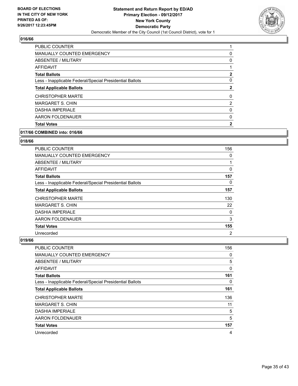

| <b>PUBLIC COUNTER</b>                                    |                |
|----------------------------------------------------------|----------------|
| <b>MANUALLY COUNTED EMERGENCY</b>                        | 0              |
| ABSENTEE / MILITARY                                      | 0              |
| AFFIDAVIT                                                |                |
| <b>Total Ballots</b>                                     | 2              |
| Less - Inapplicable Federal/Special Presidential Ballots | 0              |
| <b>Total Applicable Ballots</b>                          | 2              |
| <b>CHRISTOPHER MARTE</b>                                 | 0              |
| <b>MARGARET S. CHIN</b>                                  | $\overline{2}$ |
| <b>DASHIA IMPERIALE</b>                                  | 0              |
| AARON FOLDENAUER                                         | 0              |
| <b>Total Votes</b>                                       |                |

## **017/66 COMBINED into: 016/66**

#### **018/66**

| <b>PUBLIC COUNTER</b>                                    | 156            |
|----------------------------------------------------------|----------------|
| MANUALLY COUNTED EMERGENCY                               | 0              |
| ABSENTEE / MILITARY                                      |                |
| <b>AFFIDAVIT</b>                                         | 0              |
| <b>Total Ballots</b>                                     | 157            |
| Less - Inapplicable Federal/Special Presidential Ballots | 0              |
| <b>Total Applicable Ballots</b>                          | 157            |
| <b>CHRISTOPHER MARTE</b>                                 | 130            |
| <b>MARGARET S. CHIN</b>                                  | 22             |
| <b>DASHIA IMPERIALE</b>                                  | 0              |
| AARON FOLDENAUER                                         | 3              |
| <b>Total Votes</b>                                       | 155            |
| Unrecorded                                               | $\overline{2}$ |

| <b>PUBLIC COUNTER</b>                                    | 156 |
|----------------------------------------------------------|-----|
| MANUALLY COUNTED EMERGENCY                               | 0   |
| ABSENTEE / MILITARY                                      | 5   |
| AFFIDAVIT                                                | 0   |
| <b>Total Ballots</b>                                     | 161 |
| Less - Inapplicable Federal/Special Presidential Ballots | 0   |
| <b>Total Applicable Ballots</b>                          | 161 |
| <b>CHRISTOPHER MARTE</b>                                 | 136 |
| <b>MARGARET S. CHIN</b>                                  | 11  |
| <b>DASHIA IMPERIALE</b>                                  | 5   |
| AARON FOLDENAUER                                         | 5   |
| <b>Total Votes</b>                                       | 157 |
| Unrecorded                                               | 4   |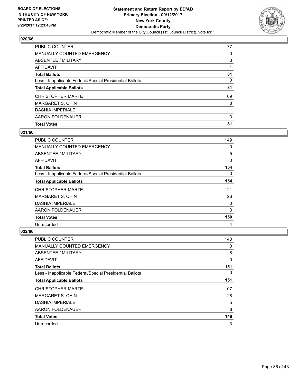

| PUBLIC COUNTER                                           | 77 |
|----------------------------------------------------------|----|
| <b>MANUALLY COUNTED EMERGENCY</b>                        | 0  |
| ABSENTEE / MILITARY                                      | 3  |
| AFFIDAVIT                                                |    |
| <b>Total Ballots</b>                                     | 81 |
| Less - Inapplicable Federal/Special Presidential Ballots | 0  |
| <b>Total Applicable Ballots</b>                          | 81 |
| <b>CHRISTOPHER MARTE</b>                                 | 69 |
| <b>MARGARET S. CHIN</b>                                  | 8  |
| <b>DASHIA IMPERIALE</b>                                  |    |
| AARON FOLDENAUER                                         | 3  |
| <b>Total Votes</b>                                       | 81 |

#### **021/66**

| <b>PUBLIC COUNTER</b>                                    | 149 |
|----------------------------------------------------------|-----|
| <b>MANUALLY COUNTED EMERGENCY</b>                        | 0   |
| ABSENTEE / MILITARY                                      | 5   |
| <b>AFFIDAVIT</b>                                         | 0   |
| <b>Total Ballots</b>                                     | 154 |
| Less - Inapplicable Federal/Special Presidential Ballots | 0   |
| <b>Total Applicable Ballots</b>                          | 154 |
| <b>CHRISTOPHER MARTE</b>                                 | 121 |
| <b>MARGARET S. CHIN</b>                                  | 26  |
| <b>DASHIA IMPERIALE</b>                                  | 0   |
| AARON FOLDENAUER                                         | 3   |
| <b>Total Votes</b>                                       | 150 |
| Unrecorded                                               | 4   |

| PUBLIC COUNTER                                           | 143 |
|----------------------------------------------------------|-----|
| <b>MANUALLY COUNTED EMERGENCY</b>                        | 0   |
| ABSENTEE / MILITARY                                      | 8   |
| AFFIDAVIT                                                | 0   |
| <b>Total Ballots</b>                                     | 151 |
| Less - Inapplicable Federal/Special Presidential Ballots | 0   |
| <b>Total Applicable Ballots</b>                          | 151 |
| <b>CHRISTOPHER MARTE</b>                                 | 107 |
| <b>MARGARET S. CHIN</b>                                  | 28  |
| <b>DASHIA IMPERIALE</b>                                  | 5   |
| AARON FOLDENAUER                                         | 8   |
| <b>Total Votes</b>                                       | 148 |
| Unrecorded                                               | 3   |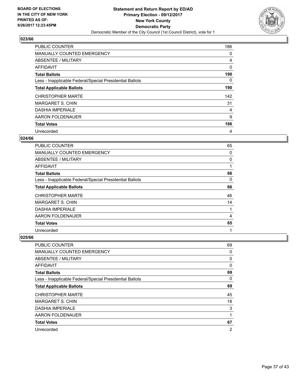

| <b>PUBLIC COUNTER</b>                                    | 186 |
|----------------------------------------------------------|-----|
| MANUALLY COUNTED EMERGENCY                               | 0   |
| ABSENTEE / MILITARY                                      | 4   |
| AFFIDAVIT                                                | 0   |
| <b>Total Ballots</b>                                     | 190 |
| Less - Inapplicable Federal/Special Presidential Ballots | 0   |
| <b>Total Applicable Ballots</b>                          | 190 |
| <b>CHRISTOPHER MARTE</b>                                 | 142 |
| <b>MARGARET S. CHIN</b>                                  | 31  |
| <b>DASHIA IMPERIALE</b>                                  | 4   |
| AARON FOLDENAUER                                         | 9   |
| <b>Total Votes</b>                                       | 186 |
| Unrecorded                                               | 4   |

## **024/66**

| PUBLIC COUNTER                                           | 65 |
|----------------------------------------------------------|----|
| <b>MANUALLY COUNTED EMERGENCY</b>                        | 0  |
| ABSENTEE / MILITARY                                      | 0  |
| <b>AFFIDAVIT</b>                                         |    |
| <b>Total Ballots</b>                                     | 66 |
| Less - Inapplicable Federal/Special Presidential Ballots | 0  |
| <b>Total Applicable Ballots</b>                          | 66 |
| <b>CHRISTOPHER MARTE</b>                                 | 46 |
| <b>MARGARET S. CHIN</b>                                  | 14 |
| <b>DASHIA IMPERIALE</b>                                  |    |
| AARON FOLDENAUER                                         | 4  |
| <b>Total Votes</b>                                       | 65 |
| Unrecorded                                               | 1  |

| PUBLIC COUNTER                                           | 69             |
|----------------------------------------------------------|----------------|
| MANUALLY COUNTED EMERGENCY                               | 0              |
| ABSENTEE / MILITARY                                      | 0              |
| AFFIDAVIT                                                | 0              |
| <b>Total Ballots</b>                                     | 69             |
| Less - Inapplicable Federal/Special Presidential Ballots | 0              |
| <b>Total Applicable Ballots</b>                          | 69             |
| <b>CHRISTOPHER MARTE</b>                                 | 45             |
| <b>MARGARET S. CHIN</b>                                  | 18             |
| <b>DASHIA IMPERIALE</b>                                  | 3              |
| AARON FOLDENAUER                                         | 1              |
| <b>Total Votes</b>                                       | 67             |
| Unrecorded                                               | $\overline{2}$ |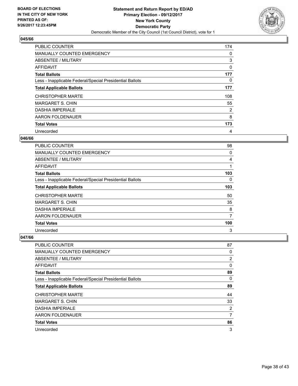

| <b>PUBLIC COUNTER</b>                                    | 174 |
|----------------------------------------------------------|-----|
| <b>MANUALLY COUNTED EMERGENCY</b>                        | 0   |
| ABSENTEE / MILITARY                                      | 3   |
| <b>AFFIDAVIT</b>                                         | 0   |
| <b>Total Ballots</b>                                     | 177 |
| Less - Inapplicable Federal/Special Presidential Ballots | 0   |
| <b>Total Applicable Ballots</b>                          | 177 |
| <b>CHRISTOPHER MARTE</b>                                 | 108 |
| <b>MARGARET S. CHIN</b>                                  | 55  |
| <b>DASHIA IMPERIALE</b>                                  | 2   |
| AARON FOLDENAUER                                         | 8   |
| <b>Total Votes</b>                                       | 173 |
| Unrecorded                                               | 4   |

## **046/66**

| PUBLIC COUNTER                                           | 98  |
|----------------------------------------------------------|-----|
| <b>MANUALLY COUNTED EMERGENCY</b>                        | 0   |
| ABSENTEE / MILITARY                                      | 4   |
| AFFIDAVIT                                                |     |
| <b>Total Ballots</b>                                     | 103 |
| Less - Inapplicable Federal/Special Presidential Ballots | 0   |
| <b>Total Applicable Ballots</b>                          | 103 |
| <b>CHRISTOPHER MARTE</b>                                 | 50  |
| <b>MARGARET S. CHIN</b>                                  | 35  |
| <b>DASHIA IMPERIALE</b>                                  | 8   |
| AARON FOLDENAUER                                         | 7   |
| <b>Total Votes</b>                                       | 100 |
| Unrecorded                                               | 3   |

| <b>PUBLIC COUNTER</b>                                    | 87             |
|----------------------------------------------------------|----------------|
| <b>MANUALLY COUNTED EMERGENCY</b>                        | 0              |
| ABSENTEE / MILITARY                                      | $\overline{2}$ |
| AFFIDAVIT                                                | 0              |
| <b>Total Ballots</b>                                     | 89             |
| Less - Inapplicable Federal/Special Presidential Ballots | 0              |
| <b>Total Applicable Ballots</b>                          | 89             |
| <b>CHRISTOPHER MARTE</b>                                 | 44             |
| <b>MARGARET S. CHIN</b>                                  | 33             |
| <b>DASHIA IMPERIALE</b>                                  | 2              |
| AARON FOLDENAUER                                         | 7              |
| <b>Total Votes</b>                                       | 86             |
| Unrecorded                                               | 3              |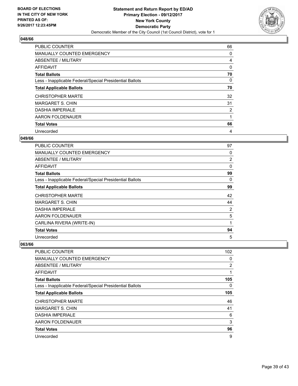

| <b>PUBLIC COUNTER</b>                                    | 66 |
|----------------------------------------------------------|----|
| <b>MANUALLY COUNTED EMERGENCY</b>                        | 0  |
| ABSENTEE / MILITARY                                      | 4  |
| <b>AFFIDAVIT</b>                                         | 0  |
| <b>Total Ballots</b>                                     | 70 |
| Less - Inapplicable Federal/Special Presidential Ballots | 0  |
| <b>Total Applicable Ballots</b>                          | 70 |
| <b>CHRISTOPHER MARTE</b>                                 | 32 |
| <b>MARGARET S. CHIN</b>                                  | 31 |
| <b>DASHIA IMPERIALE</b>                                  | 2  |
| AARON FOLDENAUER                                         | 1  |
| <b>Total Votes</b>                                       | 66 |
| Unrecorded                                               | 4  |

## **049/66**

| PUBLIC COUNTER                                           | 97          |
|----------------------------------------------------------|-------------|
| <b>MANUALLY COUNTED EMERGENCY</b>                        | 0           |
| ABSENTEE / MILITARY                                      | 2           |
| <b>AFFIDAVIT</b>                                         | $\mathbf 0$ |
| <b>Total Ballots</b>                                     | 99          |
| Less - Inapplicable Federal/Special Presidential Ballots | 0           |
| <b>Total Applicable Ballots</b>                          | 99          |
| <b>CHRISTOPHER MARTE</b>                                 | 42          |
| <b>MARGARET S. CHIN</b>                                  | 44          |
| <b>DASHIA IMPERIALE</b>                                  | 2           |
| AARON FOLDENAUER                                         | 5           |
| CARLINA RIVERA (WRITE-IN)                                | 1           |
| <b>Total Votes</b>                                       | 94          |
| Unrecorded                                               | 5           |

| <b>PUBLIC COUNTER</b>                                    | 102 |
|----------------------------------------------------------|-----|
| MANUALLY COUNTED EMERGENCY                               | 0   |
| ABSENTEE / MILITARY                                      | 2   |
| AFFIDAVIT                                                | 1   |
| <b>Total Ballots</b>                                     | 105 |
| Less - Inapplicable Federal/Special Presidential Ballots | 0   |
| <b>Total Applicable Ballots</b>                          | 105 |
| <b>CHRISTOPHER MARTE</b>                                 | 46  |
| <b>MARGARET S. CHIN</b>                                  | 41  |
| <b>DASHIA IMPERIALE</b>                                  | 6   |
| AARON FOLDENAUER                                         | 3   |
| <b>Total Votes</b>                                       | 96  |
| Unrecorded                                               | 9   |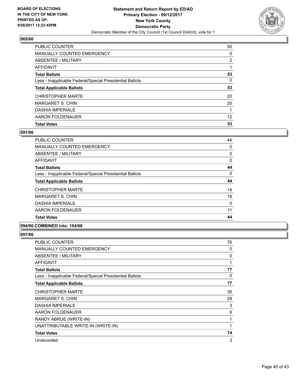

| <b>PUBLIC COUNTER</b>                                    | 50 |
|----------------------------------------------------------|----|
| <b>MANUALLY COUNTED EMERGENCY</b>                        | 0  |
| <b>ABSENTEE / MILITARY</b>                               | 2  |
| AFFIDAVIT                                                |    |
| <b>Total Ballots</b>                                     | 53 |
| Less - Inapplicable Federal/Special Presidential Ballots | 0  |
| <b>Total Applicable Ballots</b>                          | 53 |
| <b>CHRISTOPHER MARTE</b>                                 | 20 |
| MARGARET S. CHIN                                         | 20 |
| <b>DASHIA IMPERIALE</b>                                  |    |
| AARON FOLDENAUER                                         | 12 |
| <b>Total Votes</b>                                       | 53 |

## **091/66**

| PUBLIC COUNTER                                           | 44       |
|----------------------------------------------------------|----------|
| <b>MANUALLY COUNTED EMERGENCY</b>                        | 0        |
| ABSENTEE / MILITARY                                      | 0        |
| AFFIDAVIT                                                | 0        |
| <b>Total Ballots</b>                                     | 44       |
| Less - Inapplicable Federal/Special Presidential Ballots | $\Omega$ |
| <b>Total Applicable Ballots</b>                          | 44       |
| <b>CHRISTOPHER MARTE</b>                                 | 14       |
| <b>MARGARET S. CHIN</b>                                  | 19       |
| <b>DASHIA IMPERIALE</b>                                  | 0        |
| AARON FOLDENAUER                                         | 11       |
| <b>Total Votes</b>                                       | 44       |

## **094/66 COMBINED into: 104/66**

| PUBLIC COUNTER                                           | 76 |
|----------------------------------------------------------|----|
| <b>MANUALLY COUNTED EMERGENCY</b>                        | 0  |
| ABSENTEE / MILITARY                                      | 0  |
| AFFIDAVIT                                                | 1  |
| <b>Total Ballots</b>                                     | 77 |
| Less - Inapplicable Federal/Special Presidential Ballots | 0  |
| <b>Total Applicable Ballots</b>                          | 77 |
| <b>CHRISTOPHER MARTE</b>                                 | 35 |
| <b>MARGARET S. CHIN</b>                                  | 28 |
| <b>DASHIA IMPERIALE</b>                                  | 3  |
| AARON FOLDENAUER                                         | 6  |
| RANDY ABRUE (WRITE-IN)                                   | 1  |
| UNATTRIBUTABLE WRITE-IN (WRITE-IN)                       | 1  |
| <b>Total Votes</b>                                       | 74 |
| Unrecorded                                               | 3  |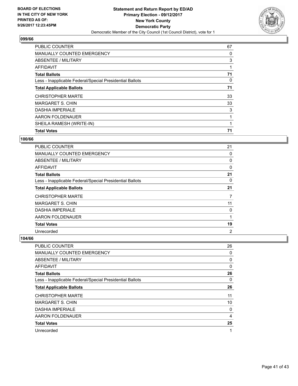

| SHEILA RAMESH (WRITE-IN)                                 | 71 |
|----------------------------------------------------------|----|
| AARON FOLDENAUER                                         |    |
| <b>DASHIA IMPERIALE</b>                                  | 3  |
| <b>MARGARET S. CHIN</b>                                  | 33 |
| <b>CHRISTOPHER MARTE</b>                                 | 33 |
| <b>Total Applicable Ballots</b>                          | 71 |
| Less - Inapplicable Federal/Special Presidential Ballots | 0  |
| <b>Total Ballots</b>                                     | 71 |
| AFFIDAVIT                                                |    |
| ABSENTEE / MILITARY                                      | 3  |
| <b>MANUALLY COUNTED EMERGENCY</b>                        | 0  |
| <b>PUBLIC COUNTER</b>                                    | 67 |

#### **100/66**

| <b>PUBLIC COUNTER</b>                                    | 21             |
|----------------------------------------------------------|----------------|
| <b>MANUALLY COUNTED EMERGENCY</b>                        | 0              |
| ABSENTEE / MILITARY                                      | 0              |
| AFFIDAVIT                                                | 0              |
| <b>Total Ballots</b>                                     | 21             |
| Less - Inapplicable Federal/Special Presidential Ballots | 0              |
| <b>Total Applicable Ballots</b>                          | 21             |
| <b>CHRISTOPHER MARTE</b>                                 | 7              |
| <b>MARGARET S. CHIN</b>                                  | 11             |
| <b>DASHIA IMPERIALE</b>                                  | 0              |
| AARON FOLDENAUER                                         | 1              |
| <b>Total Votes</b>                                       | 19             |
| Unrecorded                                               | $\overline{2}$ |

| <b>PUBLIC COUNTER</b>                                    | 26 |
|----------------------------------------------------------|----|
| MANUALLY COUNTED EMERGENCY                               | 0  |
| ABSENTEE / MILITARY                                      | 0  |
| AFFIDAVIT                                                | 0  |
| <b>Total Ballots</b>                                     | 26 |
| Less - Inapplicable Federal/Special Presidential Ballots | 0  |
| <b>Total Applicable Ballots</b>                          | 26 |
| <b>CHRISTOPHER MARTE</b>                                 | 11 |
| <b>MARGARET S. CHIN</b>                                  | 10 |
| <b>DASHIA IMPERIALE</b>                                  | 0  |
| AARON FOLDENAUER                                         | 4  |
| <b>Total Votes</b>                                       | 25 |
| Unrecorded                                               | 1  |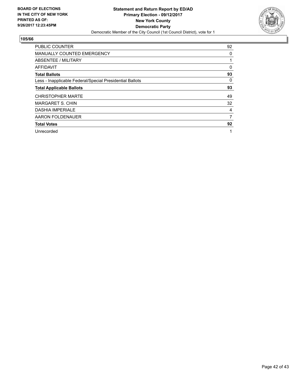

| <b>PUBLIC COUNTER</b>                                    | 92 |
|----------------------------------------------------------|----|
| <b>MANUALLY COUNTED EMERGENCY</b>                        | 0  |
| ABSENTEE / MILITARY                                      |    |
| AFFIDAVIT                                                | 0  |
| <b>Total Ballots</b>                                     | 93 |
| Less - Inapplicable Federal/Special Presidential Ballots | 0  |
| <b>Total Applicable Ballots</b>                          | 93 |
| <b>CHRISTOPHER MARTE</b>                                 | 49 |
| <b>MARGARET S. CHIN</b>                                  | 32 |
| <b>DASHIA IMPERIALE</b>                                  | 4  |
| AARON FOLDENAUER                                         | 7  |
| <b>Total Votes</b>                                       | 92 |
| Unrecorded                                               | 1  |